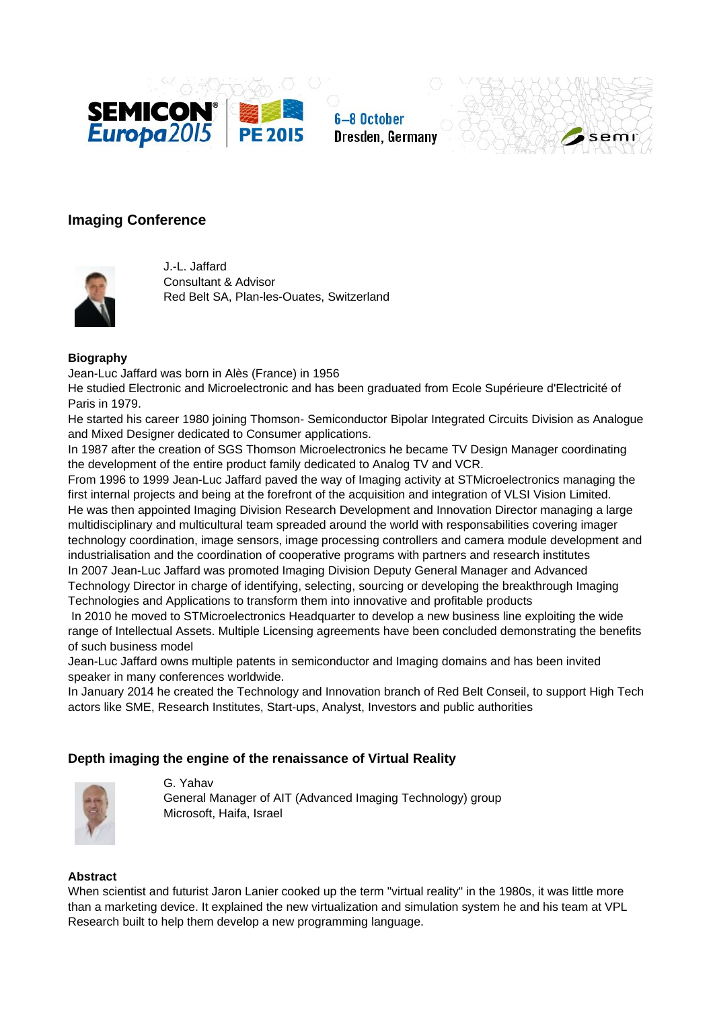





# **Imaging Conference**



J.-L. Jaffard Consultant & Advisor Red Belt SA, Plan-les-Ouates, Switzerland

### **Biography**

Jean-Luc Jaffard was born in Alès (France) in 1956

He studied Electronic and Microelectronic and has been graduated from Ecole Supérieure d'Electricité of Paris in 1979.

He started his career 1980 joining Thomson- Semiconductor Bipolar Integrated Circuits Division as Analogue and Mixed Designer dedicated to Consumer applications.

In 1987 after the creation of SGS Thomson Microelectronics he became TV Design Manager coordinating the development of the entire product family dedicated to Analog TV and VCR.

From 1996 to 1999 Jean-Luc Jaffard paved the way of Imaging activity at STMicroelectronics managing the first internal projects and being at the forefront of the acquisition and integration of VLSI Vision Limited. He was then appointed Imaging Division Research Development and Innovation Director managing a large multidisciplinary and multicultural team spreaded around the world with responsabilities covering imager technology coordination, image sensors, image processing controllers and camera module development and industrialisation and the coordination of cooperative programs with partners and research institutes In 2007 Jean-Luc Jaffard was promoted Imaging Division Deputy General Manager and Advanced Technology Director in charge of identifying, selecting, sourcing or developing the breakthrough Imaging Technologies and Applications to transform them into innovative and profitable products

 In 2010 he moved to STMicroelectronics Headquarter to develop a new business line exploiting the wide range of Intellectual Assets. Multiple Licensing agreements have been concluded demonstrating the benefits of such business model

Jean-Luc Jaffard owns multiple patents in semiconductor and Imaging domains and has been invited speaker in many conferences worldwide.

In January 2014 he created the Technology and Innovation branch of Red Belt Conseil, to support High Tech actors like SME, Research Institutes, Start-ups, Analyst, Investors and public authorities

### **Depth imaging the engine of the renaissance of Virtual Reality**



G. Yahav General Manager of AIT (Advanced Imaging Technology) group Microsoft, Haifa, Israel

### **Abstract**

When scientist and futurist Jaron Lanier cooked up the term "virtual reality" in the 1980s, it was little more than a marketing device. It explained the new virtualization and simulation system he and his team at VPL Research built to help them develop a new programming language.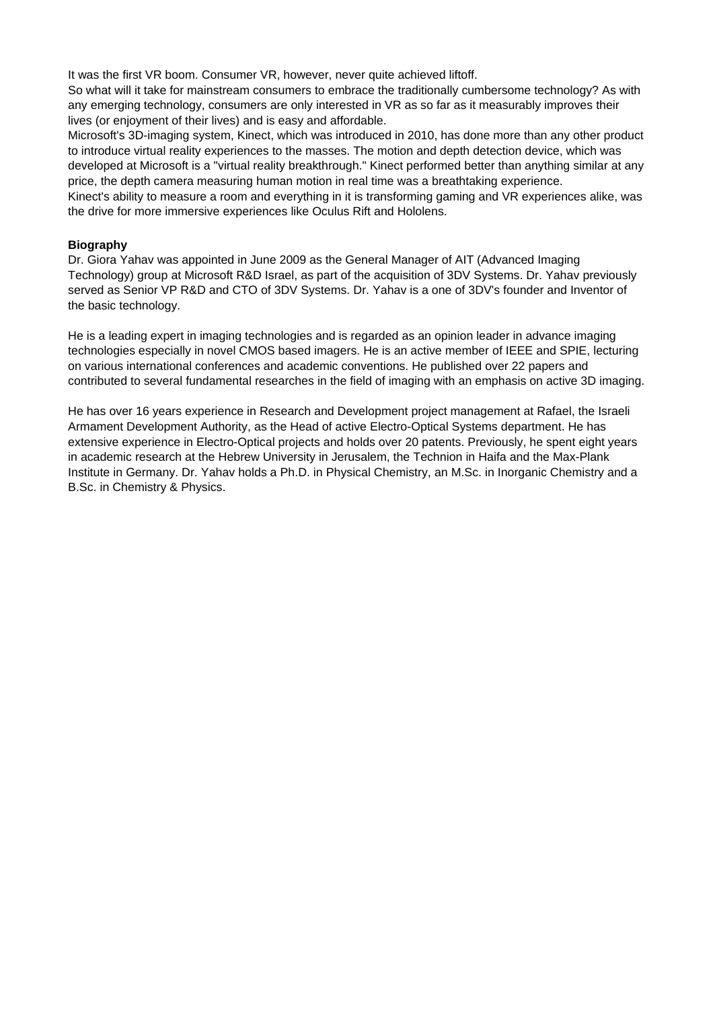It was the first VR boom. Consumer VR, however, never quite achieved liftoff.

So what will it take for mainstream consumers to embrace the traditionally cumbersome technology? As with any emerging technology, consumers are only interested in VR as so far as it measurably improves their lives (or enjoyment of their lives) and is easy and affordable.

Microsoft's 3D-imaging system, Kinect, which was introduced in 2010, has done more than any other product to introduce virtual reality experiences to the masses. The motion and depth detection device, which was developed at Microsoft is a "virtual reality breakthrough." Kinect performed better than anything similar at any price, the depth camera measuring human motion in real time was a breathtaking experience.

Kinect's ability to measure a room and everything in it is transforming gaming and VR experiences alike, was the drive for more immersive experiences like Oculus Rift and Hololens.

### **Biography**

Dr. Giora Yahav was appointed in June 2009 as the General Manager of AIT (Advanced Imaging Technology) group at Microsoft R&D Israel, as part of the acquisition of 3DV Systems. Dr. Yahav previously served as Senior VP R&D and CTO of 3DV Systems. Dr. Yahav is a one of 3DV's founder and Inventor of the basic technology.

He is a leading expert in imaging technologies and is regarded as an opinion leader in advance imaging technologies especially in novel CMOS based imagers. He is an active member of IEEE and SPIE, lecturing on various international conferences and academic conventions. He published over 22 papers and contributed to several fundamental researches in the field of imaging with an emphasis on active 3D imaging.

He has over 16 years experience in Research and Development project management at Rafael, the Israeli Armament Development Authority, as the Head of active Electro-Optical Systems department. He has extensive experience in Electro-Optical projects and holds over 20 patents. Previously, he spent eight years in academic research at the Hebrew University in Jerusalem, the Technion in Haifa and the Max-Plank Institute in Germany. Dr. Yahav holds a Ph.D. in Physical Chemistry, an M.Sc. in Inorganic Chemistry and a B.Sc. in Chemistry & Physics.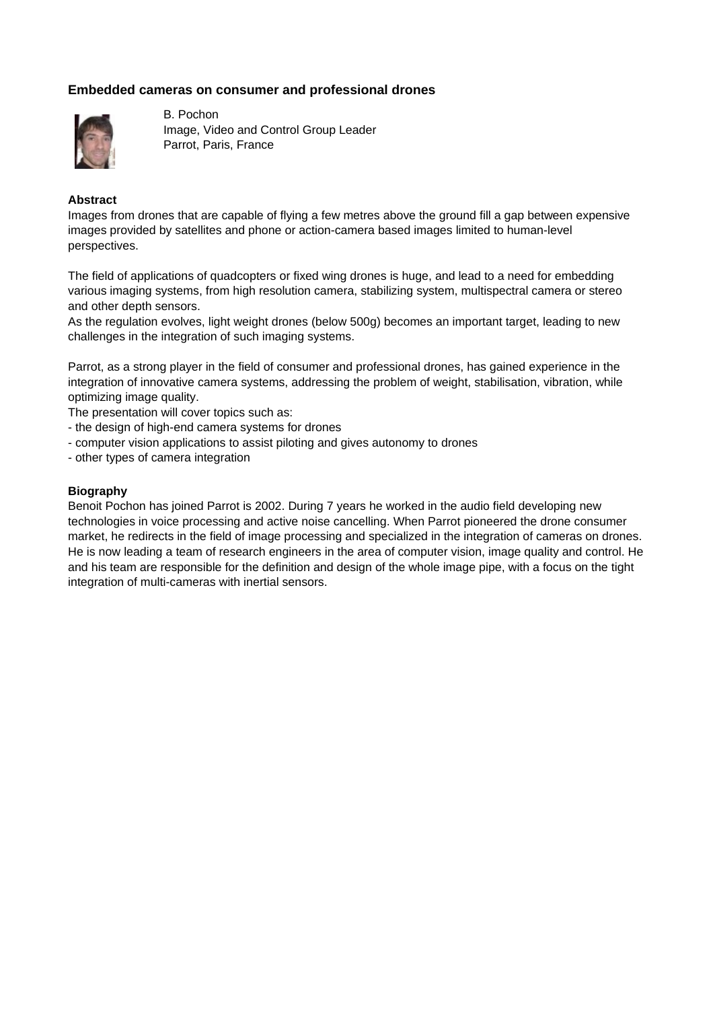# **Embedded cameras on consumer and professional drones**



B. Pochon Image, Video and Control Group Leader Parrot, Paris, France

### **Abstract**

Images from drones that are capable of flying a few metres above the ground fill a gap between expensive images provided by satellites and phone or action-camera based images limited to human-level perspectives.

The field of applications of quadcopters or fixed wing drones is huge, and lead to a need for embedding various imaging systems, from high resolution camera, stabilizing system, multispectral camera or stereo and other depth sensors.

As the regulation evolves, light weight drones (below 500g) becomes an important target, leading to new challenges in the integration of such imaging systems.

Parrot, as a strong player in the field of consumer and professional drones, has gained experience in the integration of innovative camera systems, addressing the problem of weight, stabilisation, vibration, while optimizing image quality.

The presentation will cover topics such as:

- the design of high-end camera systems for drones
- computer vision applications to assist piloting and gives autonomy to drones
- other types of camera integration

### **Biography**

Benoit Pochon has joined Parrot is 2002. During 7 years he worked in the audio field developing new technologies in voice processing and active noise cancelling. When Parrot pioneered the drone consumer market, he redirects in the field of image processing and specialized in the integration of cameras on drones. He is now leading a team of research engineers in the area of computer vision, image quality and control. He and his team are responsible for the definition and design of the whole image pipe, with a focus on the tight integration of multi-cameras with inertial sensors.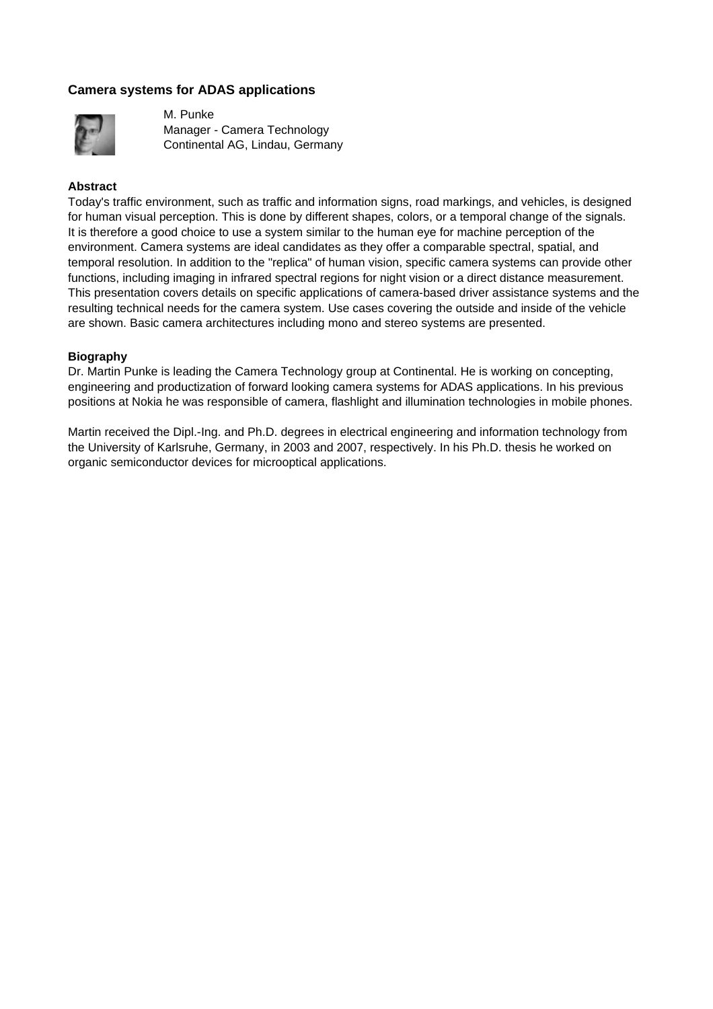## **Camera systems for ADAS applications**



M. Punke Manager - Camera Technology Continental AG, Lindau, Germany

### **Abstract**

Today's traffic environment, such as traffic and information signs, road markings, and vehicles, is designed for human visual perception. This is done by different shapes, colors, or a temporal change of the signals. It is therefore a good choice to use a system similar to the human eye for machine perception of the environment. Camera systems are ideal candidates as they offer a comparable spectral, spatial, and temporal resolution. In addition to the "replica" of human vision, specific camera systems can provide other functions, including imaging in infrared spectral regions for night vision or a direct distance measurement. This presentation covers details on specific applications of camera-based driver assistance systems and the resulting technical needs for the camera system. Use cases covering the outside and inside of the vehicle are shown. Basic camera architectures including mono and stereo systems are presented.

### **Biography**

Dr. Martin Punke is leading the Camera Technology group at Continental. He is working on concepting, engineering and productization of forward looking camera systems for ADAS applications. In his previous positions at Nokia he was responsible of camera, flashlight and illumination technologies in mobile phones.

Martin received the Dipl.-Ing. and Ph.D. degrees in electrical engineering and information technology from the University of Karlsruhe, Germany, in 2003 and 2007, respectively. In his Ph.D. thesis he worked on organic semiconductor devices for microoptical applications.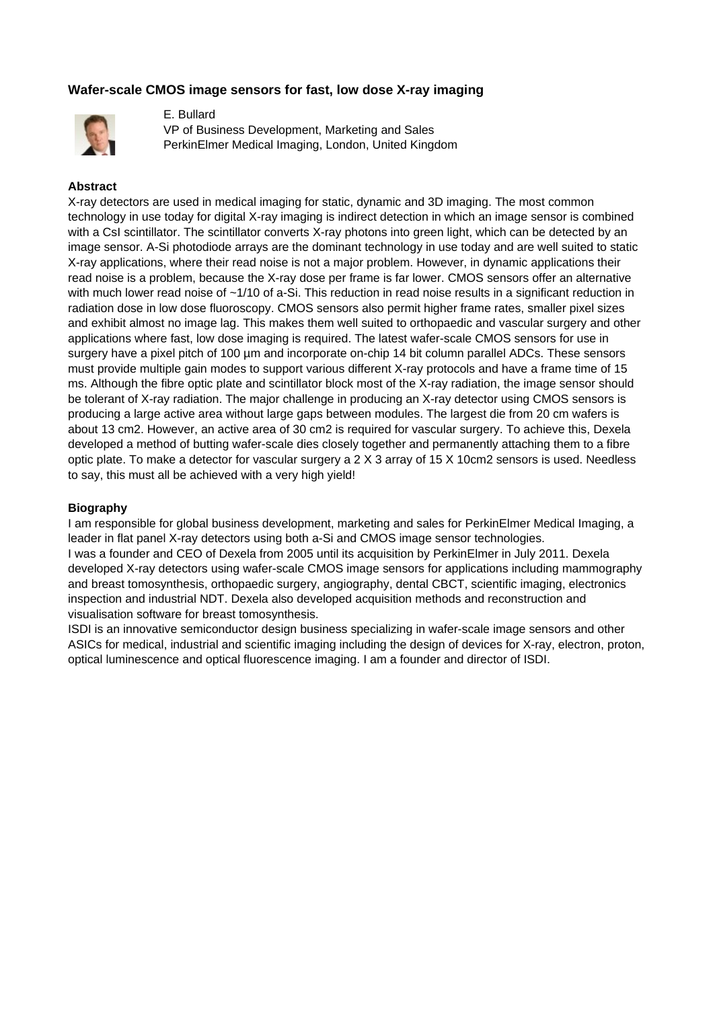# **Wafer-scale CMOS image sensors for fast, low dose X-ray imaging**



E. Bullard VP of Business Development, Marketing and Sales PerkinElmer Medical Imaging, London, United Kingdom

### **Abstract**

X-ray detectors are used in medical imaging for static, dynamic and 3D imaging. The most common technology in use today for digital X-ray imaging is indirect detection in which an image sensor is combined with a CsI scintillator. The scintillator converts X-ray photons into green light, which can be detected by an image sensor. A-Si photodiode arrays are the dominant technology in use today and are well suited to static X-ray applications, where their read noise is not a major problem. However, in dynamic applications their read noise is a problem, because the X-ray dose per frame is far lower. CMOS sensors offer an alternative with much lower read noise of  $-1/10$  of a-Si. This reduction in read noise results in a significant reduction in radiation dose in low dose fluoroscopy. CMOS sensors also permit higher frame rates, smaller pixel sizes and exhibit almost no image lag. This makes them well suited to orthopaedic and vascular surgery and other applications where fast, low dose imaging is required. The latest wafer-scale CMOS sensors for use in surgery have a pixel pitch of 100 µm and incorporate on-chip 14 bit column parallel ADCs. These sensors must provide multiple gain modes to support various different X-ray protocols and have a frame time of 15 ms. Although the fibre optic plate and scintillator block most of the X-ray radiation, the image sensor should be tolerant of X-ray radiation. The major challenge in producing an X-ray detector using CMOS sensors is producing a large active area without large gaps between modules. The largest die from 20 cm wafers is about 13 cm2. However, an active area of 30 cm2 is required for vascular surgery. To achieve this, Dexela developed a method of butting wafer-scale dies closely together and permanently attaching them to a fibre optic plate. To make a detector for vascular surgery a 2 X 3 array of 15 X 10cm2 sensors is used. Needless to say, this must all be achieved with a very high yield!

### **Biography**

I am responsible for global business development, marketing and sales for PerkinElmer Medical Imaging, a leader in flat panel X-ray detectors using both a-Si and CMOS image sensor technologies. I was a founder and CEO of Dexela from 2005 until its acquisition by PerkinElmer in July 2011. Dexela developed X-ray detectors using wafer-scale CMOS image sensors for applications including mammography and breast tomosynthesis, orthopaedic surgery, angiography, dental CBCT, scientific imaging, electronics inspection and industrial NDT. Dexela also developed acquisition methods and reconstruction and visualisation software for breast tomosynthesis.

ISDI is an innovative semiconductor design business specializing in wafer-scale image sensors and other ASICs for medical, industrial and scientific imaging including the design of devices for X-ray, electron, proton, optical luminescence and optical fluorescence imaging. I am a founder and director of ISDI.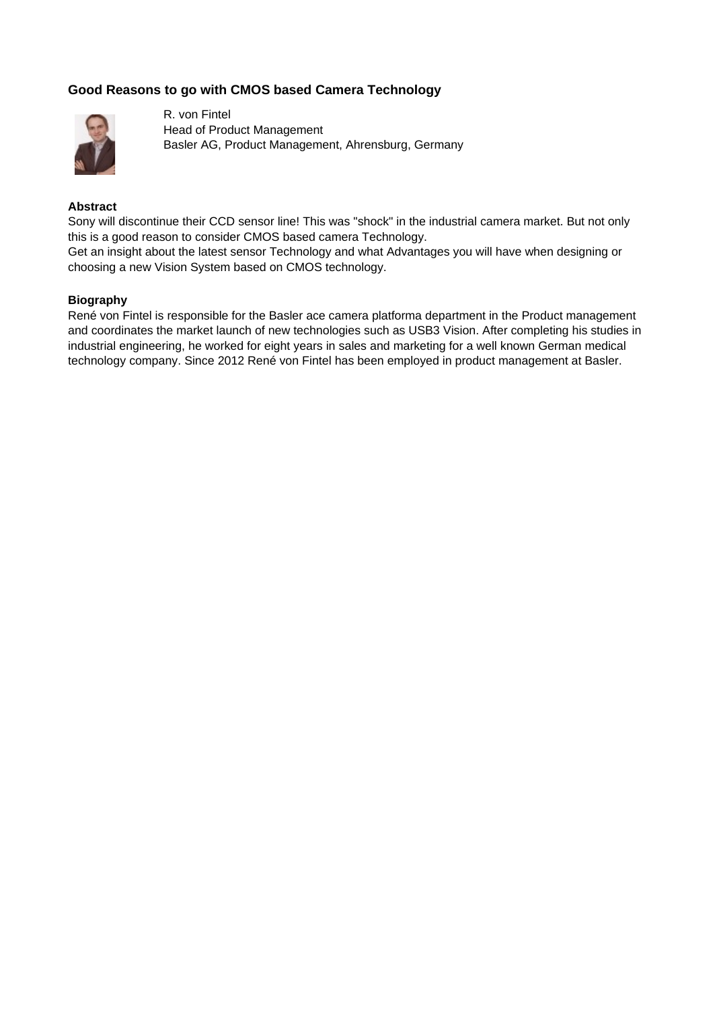# **Good Reasons to go with CMOS based Camera Technology**



R. von Fintel Head of Product Management Basler AG, Product Management, Ahrensburg, Germany

### **Abstract**

Sony will discontinue their CCD sensor line! This was "shock" in the industrial camera market. But not only this is a good reason to consider CMOS based camera Technology.

Get an insight about the latest sensor Technology and what Advantages you will have when designing or choosing a new Vision System based on CMOS technology.

### **Biography**

René von Fintel is responsible for the Basler ace camera platforma department in the Product management and coordinates the market launch of new technologies such as USB3 Vision. After completing his studies in industrial engineering, he worked for eight years in sales and marketing for a well known German medical technology company. Since 2012 René von Fintel has been employed in product management at Basler.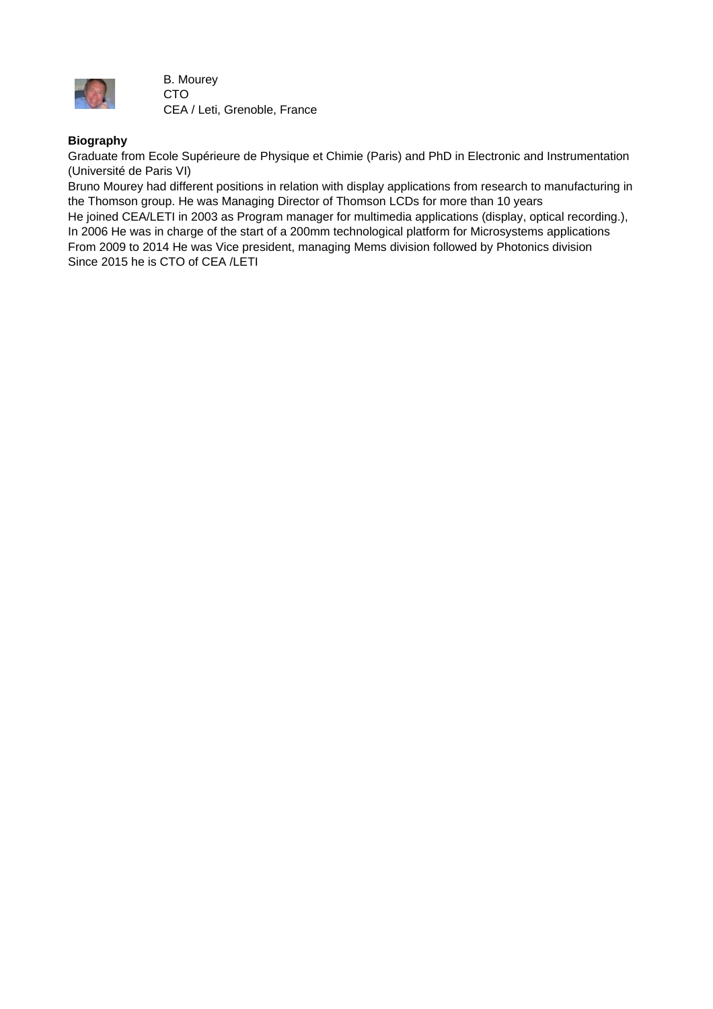

B. Mourey CTO CEA / Leti, Grenoble, France

## **Biography**

Graduate from Ecole Supérieure de Physique et Chimie (Paris) and PhD in Electronic and Instrumentation (Université de Paris VI)

Bruno Mourey had different positions in relation with display applications from research to manufacturing in the Thomson group. He was Managing Director of Thomson LCDs for more than 10 years

He joined CEA/LETI in 2003 as Program manager for multimedia applications (display, optical recording.), In 2006 He was in charge of the start of a 200mm technological platform for Microsystems applications From 2009 to 2014 He was Vice president, managing Mems division followed by Photonics division Since 2015 he is CTO of CEA /LETI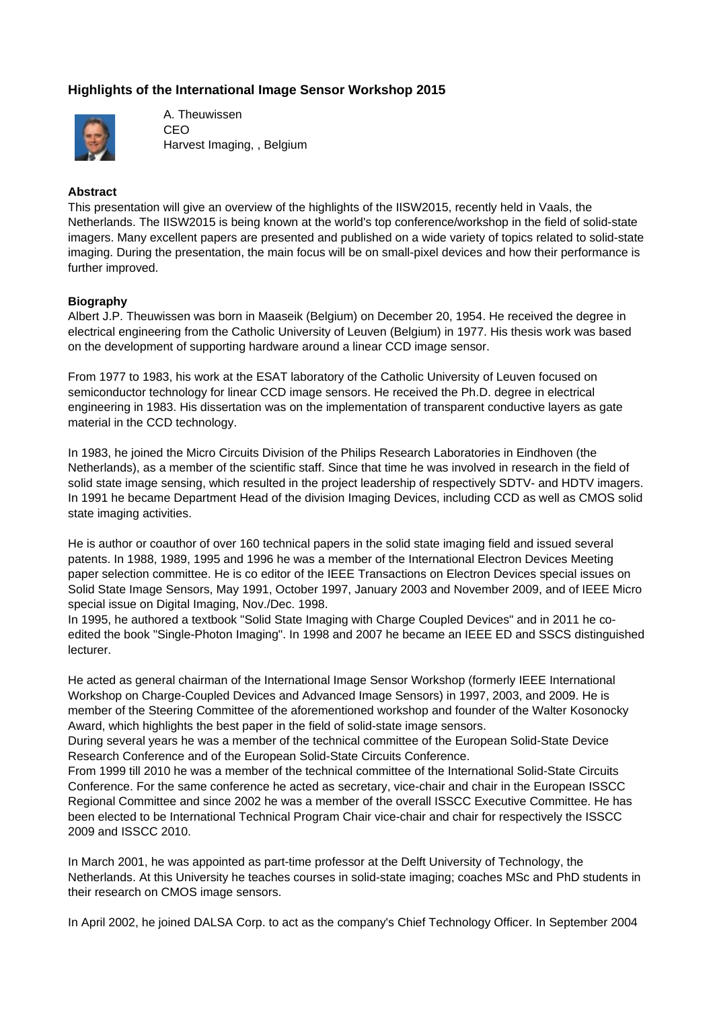# **Highlights of the International Image Sensor Workshop 2015**



A. Theuwissen CEO Harvest Imaging, , Belgium

### **Abstract**

This presentation will give an overview of the highlights of the IISW2015, recently held in Vaals, the Netherlands. The IISW2015 is being known at the world's top conference/workshop in the field of solid-state imagers. Many excellent papers are presented and published on a wide variety of topics related to solid-state imaging. During the presentation, the main focus will be on small-pixel devices and how their performance is further improved.

### **Biography**

Albert J.P. Theuwissen was born in Maaseik (Belgium) on December 20, 1954. He received the degree in electrical engineering from the Catholic University of Leuven (Belgium) in 1977. His thesis work was based on the development of supporting hardware around a linear CCD image sensor.

From 1977 to 1983, his work at the ESAT laboratory of the Catholic University of Leuven focused on semiconductor technology for linear CCD image sensors. He received the Ph.D. degree in electrical engineering in 1983. His dissertation was on the implementation of transparent conductive layers as gate material in the CCD technology.

In 1983, he joined the Micro Circuits Division of the Philips Research Laboratories in Eindhoven (the Netherlands), as a member of the scientific staff. Since that time he was involved in research in the field of solid state image sensing, which resulted in the project leadership of respectively SDTV- and HDTV imagers. In 1991 he became Department Head of the division Imaging Devices, including CCD as well as CMOS solid state imaging activities.

He is author or coauthor of over 160 technical papers in the solid state imaging field and issued several patents. In 1988, 1989, 1995 and 1996 he was a member of the International Electron Devices Meeting paper selection committee. He is co editor of the IEEE Transactions on Electron Devices special issues on Solid State Image Sensors, May 1991, October 1997, January 2003 and November 2009, and of IEEE Micro special issue on Digital Imaging, Nov./Dec. 1998.

In 1995, he authored a textbook "Solid State Imaging with Charge Coupled Devices" and in 2011 he coedited the book "Single-Photon Imaging". In 1998 and 2007 he became an IEEE ED and SSCS distinguished lecturer.

He acted as general chairman of the International Image Sensor Workshop (formerly IEEE International Workshop on Charge-Coupled Devices and Advanced Image Sensors) in 1997, 2003, and 2009. He is member of the Steering Committee of the aforementioned workshop and founder of the Walter Kosonocky Award, which highlights the best paper in the field of solid-state image sensors.

During several years he was a member of the technical committee of the European Solid-State Device Research Conference and of the European Solid-State Circuits Conference.

From 1999 till 2010 he was a member of the technical committee of the International Solid-State Circuits Conference. For the same conference he acted as secretary, vice-chair and chair in the European ISSCC Regional Committee and since 2002 he was a member of the overall ISSCC Executive Committee. He has been elected to be International Technical Program Chair vice-chair and chair for respectively the ISSCC 2009 and ISSCC 2010.

In March 2001, he was appointed as part-time professor at the Delft University of Technology, the Netherlands. At this University he teaches courses in solid-state imaging; coaches MSc and PhD students in their research on CMOS image sensors.

In April 2002, he joined DALSA Corp. to act as the company's Chief Technology Officer. In September 2004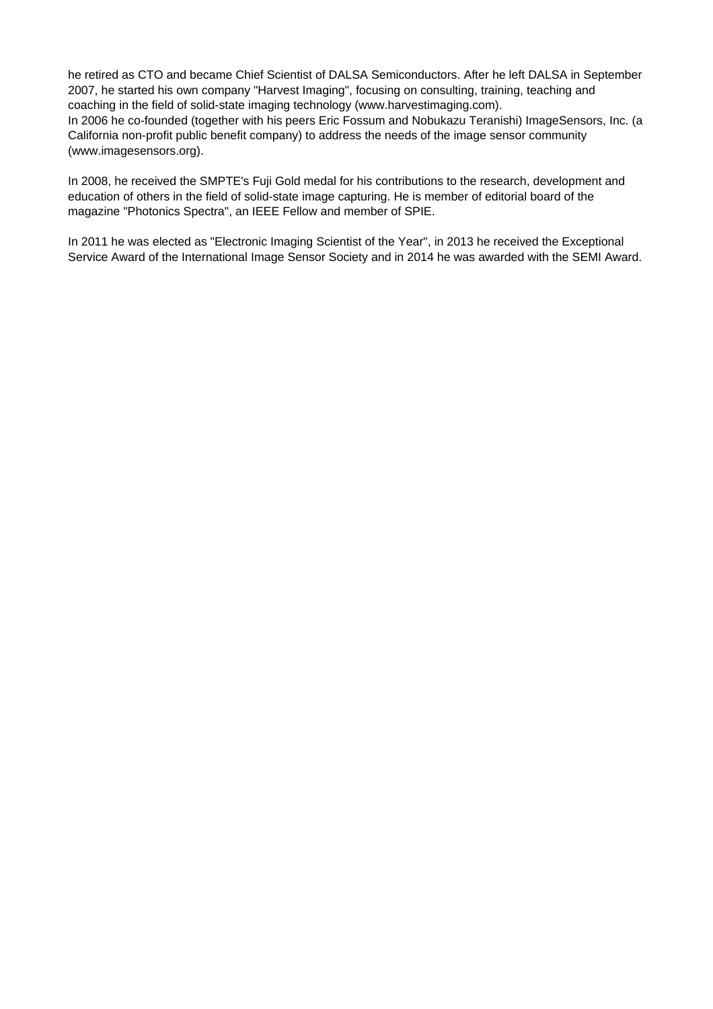he retired as CTO and became Chief Scientist of DALSA Semiconductors. After he left DALSA in September 2007, he started his own company "Harvest Imaging", focusing on consulting, training, teaching and coaching in the field of solid-state imaging technology (www.harvestimaging.com).

In 2006 he co-founded (together with his peers Eric Fossum and Nobukazu Teranishi) ImageSensors, Inc. (a California non-profit public benefit company) to address the needs of the image sensor community (www.imagesensors.org).

In 2008, he received the SMPTE's Fuji Gold medal for his contributions to the research, development and education of others in the field of solid-state image capturing. He is member of editorial board of the magazine "Photonics Spectra", an IEEE Fellow and member of SPIE.

In 2011 he was elected as "Electronic Imaging Scientist of the Year", in 2013 he received the Exceptional Service Award of the International Image Sensor Society and in 2014 he was awarded with the SEMI Award.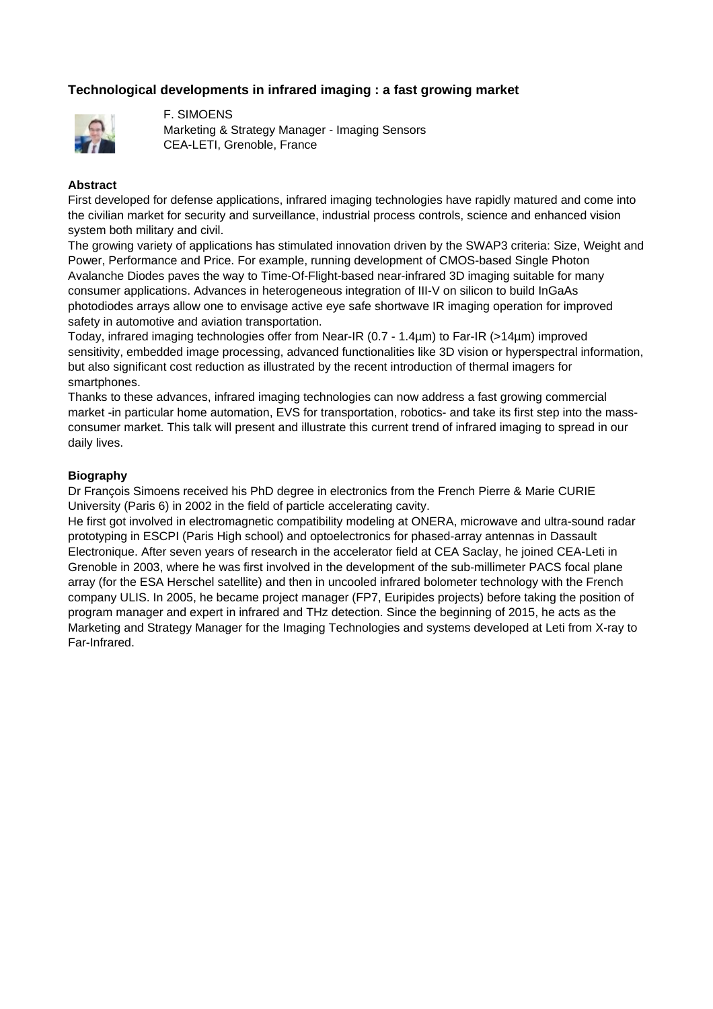# **Technological developments in infrared imaging : a fast growing market**



F. SIMOENS Marketing & Strategy Manager - Imaging Sensors CEA-LETI, Grenoble, France

### **Abstract**

First developed for defense applications, infrared imaging technologies have rapidly matured and come into the civilian market for security and surveillance, industrial process controls, science and enhanced vision system both military and civil.

The growing variety of applications has stimulated innovation driven by the SWAP3 criteria: Size, Weight and Power, Performance and Price. For example, running development of CMOS-based Single Photon Avalanche Diodes paves the way to Time-Of-Flight-based near-infrared 3D imaging suitable for many consumer applications. Advances in heterogeneous integration of III-V on silicon to build InGaAs photodiodes arrays allow one to envisage active eye safe shortwave IR imaging operation for improved safety in automotive and aviation transportation.

Today, infrared imaging technologies offer from Near-IR (0.7 - 1.4µm) to Far-IR (>14µm) improved sensitivity, embedded image processing, advanced functionalities like 3D vision or hyperspectral information, but also significant cost reduction as illustrated by the recent introduction of thermal imagers for smartphones.

Thanks to these advances, infrared imaging technologies can now address a fast growing commercial market -in particular home automation, EVS for transportation, robotics- and take its first step into the massconsumer market. This talk will present and illustrate this current trend of infrared imaging to spread in our daily lives.

### **Biography**

Dr François Simoens received his PhD degree in electronics from the French Pierre & Marie CURIE University (Paris 6) in 2002 in the field of particle accelerating cavity.

He first got involved in electromagnetic compatibility modeling at ONERA, microwave and ultra-sound radar prototyping in ESCPI (Paris High school) and optoelectronics for phased-array antennas in Dassault Electronique. After seven years of research in the accelerator field at CEA Saclay, he joined CEA-Leti in Grenoble in 2003, where he was first involved in the development of the sub-millimeter PACS focal plane array (for the ESA Herschel satellite) and then in uncooled infrared bolometer technology with the French company ULIS. In 2005, he became project manager (FP7, Euripides projects) before taking the position of program manager and expert in infrared and THz detection. Since the beginning of 2015, he acts as the Marketing and Strategy Manager for the Imaging Technologies and systems developed at Leti from X-ray to Far-Infrared.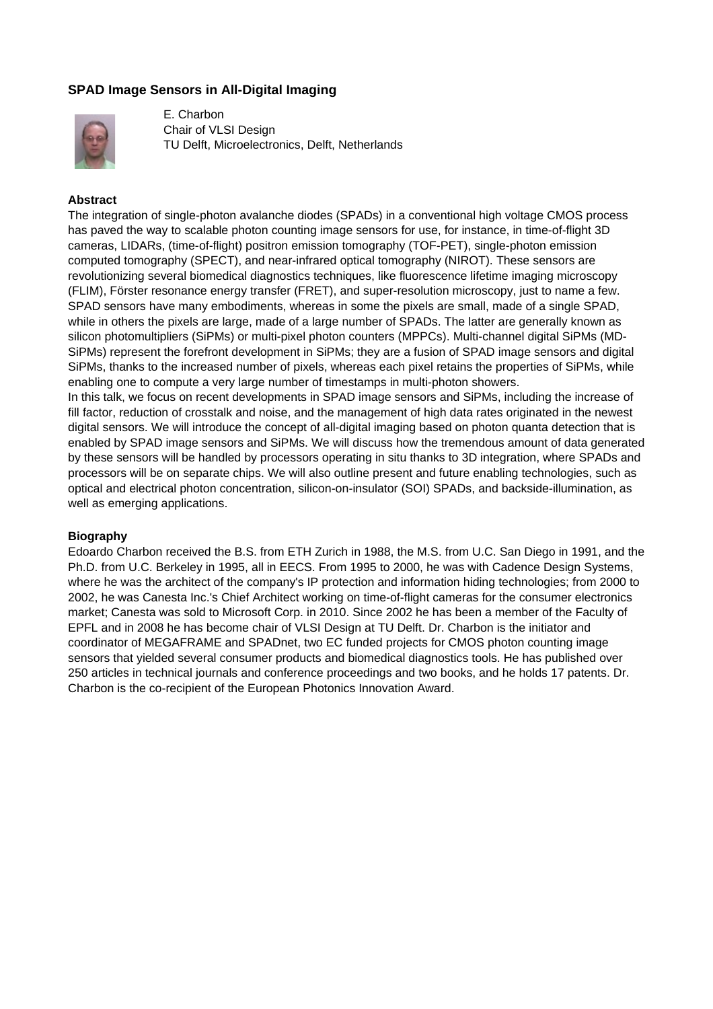# **SPAD Image Sensors in All-Digital Imaging**



E. Charbon Chair of VLSI Design TU Delft, Microelectronics, Delft, Netherlands

### **Abstract**

The integration of single-photon avalanche diodes (SPADs) in a conventional high voltage CMOS process has paved the way to scalable photon counting image sensors for use, for instance, in time-of-flight 3D cameras, LIDARs, (time-of-flight) positron emission tomography (TOF-PET), single-photon emission computed tomography (SPECT), and near-infrared optical tomography (NIROT). These sensors are revolutionizing several biomedical diagnostics techniques, like fluorescence lifetime imaging microscopy (FLIM), Förster resonance energy transfer (FRET), and super-resolution microscopy, just to name a few. SPAD sensors have many embodiments, whereas in some the pixels are small, made of a single SPAD, while in others the pixels are large, made of a large number of SPADs. The latter are generally known as silicon photomultipliers (SiPMs) or multi-pixel photon counters (MPPCs). Multi-channel digital SiPMs (MD-SiPMs) represent the forefront development in SiPMs; they are a fusion of SPAD image sensors and digital SiPMs, thanks to the increased number of pixels, whereas each pixel retains the properties of SiPMs, while enabling one to compute a very large number of timestamps in multi-photon showers.

In this talk, we focus on recent developments in SPAD image sensors and SiPMs, including the increase of fill factor, reduction of crosstalk and noise, and the management of high data rates originated in the newest digital sensors. We will introduce the concept of all-digital imaging based on photon quanta detection that is enabled by SPAD image sensors and SiPMs. We will discuss how the tremendous amount of data generated by these sensors will be handled by processors operating in situ thanks to 3D integration, where SPADs and processors will be on separate chips. We will also outline present and future enabling technologies, such as optical and electrical photon concentration, silicon-on-insulator (SOI) SPADs, and backside-illumination, as well as emerging applications.

### **Biography**

Edoardo Charbon received the B.S. from ETH Zurich in 1988, the M.S. from U.C. San Diego in 1991, and the Ph.D. from U.C. Berkeley in 1995, all in EECS. From 1995 to 2000, he was with Cadence Design Systems, where he was the architect of the company's IP protection and information hiding technologies; from 2000 to 2002, he was Canesta Inc.'s Chief Architect working on time-of-flight cameras for the consumer electronics market; Canesta was sold to Microsoft Corp. in 2010. Since 2002 he has been a member of the Faculty of EPFL and in 2008 he has become chair of VLSI Design at TU Delft. Dr. Charbon is the initiator and coordinator of MEGAFRAME and SPADnet, two EC funded projects for CMOS photon counting image sensors that yielded several consumer products and biomedical diagnostics tools. He has published over 250 articles in technical journals and conference proceedings and two books, and he holds 17 patents. Dr. Charbon is the co-recipient of the European Photonics Innovation Award.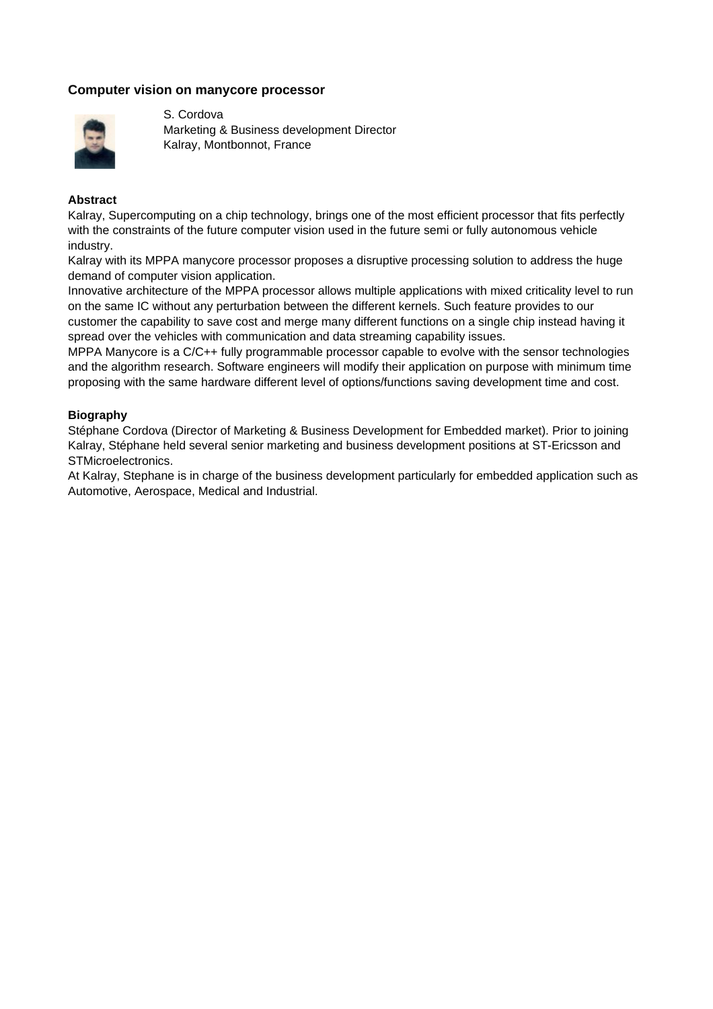## **Computer vision on manycore processor**



S. Cordova Marketing & Business development Director Kalray, Montbonnot, France

### **Abstract**

Kalray, Supercomputing on a chip technology, brings one of the most efficient processor that fits perfectly with the constraints of the future computer vision used in the future semi or fully autonomous vehicle industry.

Kalray with its MPPA manycore processor proposes a disruptive processing solution to address the huge demand of computer vision application.

Innovative architecture of the MPPA processor allows multiple applications with mixed criticality level to run on the same IC without any perturbation between the different kernels. Such feature provides to our customer the capability to save cost and merge many different functions on a single chip instead having it spread over the vehicles with communication and data streaming capability issues.

MPPA Manycore is a C/C++ fully programmable processor capable to evolve with the sensor technologies and the algorithm research. Software engineers will modify their application on purpose with minimum time proposing with the same hardware different level of options/functions saving development time and cost.

### **Biography**

Stéphane Cordova (Director of Marketing & Business Development for Embedded market). Prior to joining Kalray, Stéphane held several senior marketing and business development positions at ST-Ericsson and STMicroelectronics.

At Kalray, Stephane is in charge of the business development particularly for embedded application such as Automotive, Aerospace, Medical and Industrial.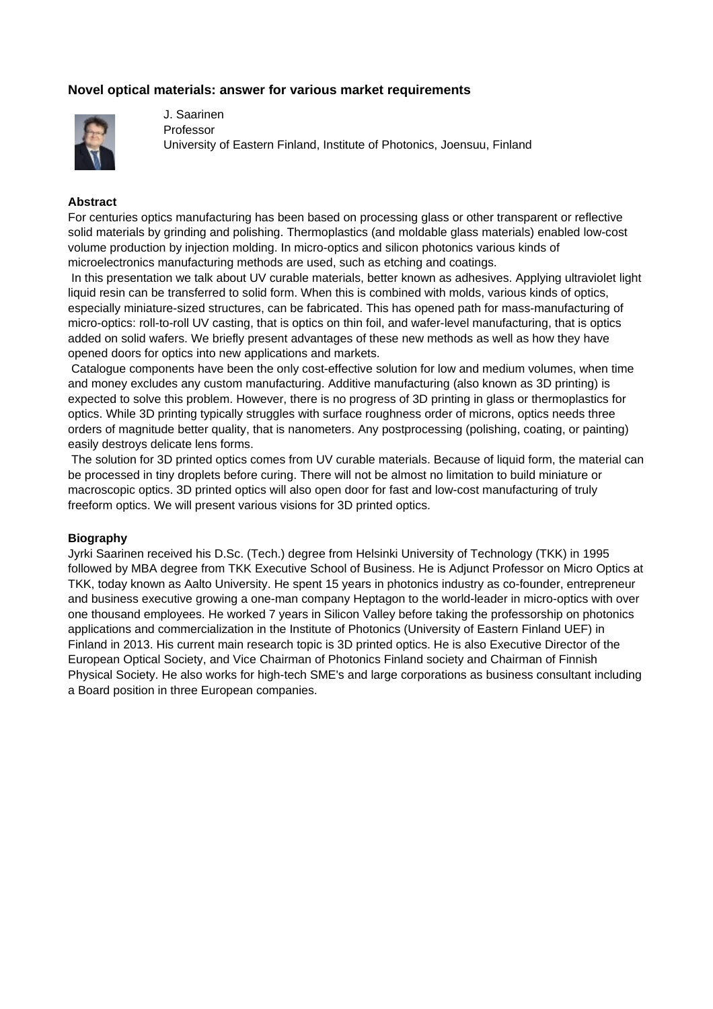## **Novel optical materials: answer for various market requirements**



J. Saarinen Professor University of Eastern Finland, Institute of Photonics, Joensuu, Finland

### **Abstract**

For centuries optics manufacturing has been based on processing glass or other transparent or reflective solid materials by grinding and polishing. Thermoplastics (and moldable glass materials) enabled low-cost volume production by injection molding. In micro-optics and silicon photonics various kinds of microelectronics manufacturing methods are used, such as etching and coatings.

 In this presentation we talk about UV curable materials, better known as adhesives. Applying ultraviolet light liquid resin can be transferred to solid form. When this is combined with molds, various kinds of optics, especially miniature-sized structures, can be fabricated. This has opened path for mass-manufacturing of micro-optics: roll-to-roll UV casting, that is optics on thin foil, and wafer-level manufacturing, that is optics added on solid wafers. We briefly present advantages of these new methods as well as how they have opened doors for optics into new applications and markets.

 Catalogue components have been the only cost-effective solution for low and medium volumes, when time and money excludes any custom manufacturing. Additive manufacturing (also known as 3D printing) is expected to solve this problem. However, there is no progress of 3D printing in glass or thermoplastics for optics. While 3D printing typically struggles with surface roughness order of microns, optics needs three orders of magnitude better quality, that is nanometers. Any postprocessing (polishing, coating, or painting) easily destroys delicate lens forms.

 The solution for 3D printed optics comes from UV curable materials. Because of liquid form, the material can be processed in tiny droplets before curing. There will not be almost no limitation to build miniature or macroscopic optics. 3D printed optics will also open door for fast and low-cost manufacturing of truly freeform optics. We will present various visions for 3D printed optics.

### **Biography**

Jyrki Saarinen received his D.Sc. (Tech.) degree from Helsinki University of Technology (TKK) in 1995 followed by MBA degree from TKK Executive School of Business. He is Adjunct Professor on Micro Optics at TKK, today known as Aalto University. He spent 15 years in photonics industry as co-founder, entrepreneur and business executive growing a one-man company Heptagon to the world-leader in micro-optics with over one thousand employees. He worked 7 years in Silicon Valley before taking the professorship on photonics applications and commercialization in the Institute of Photonics (University of Eastern Finland UEF) in Finland in 2013. His current main research topic is 3D printed optics. He is also Executive Director of the European Optical Society, and Vice Chairman of Photonics Finland society and Chairman of Finnish Physical Society. He also works for high-tech SME's and large corporations as business consultant including a Board position in three European companies.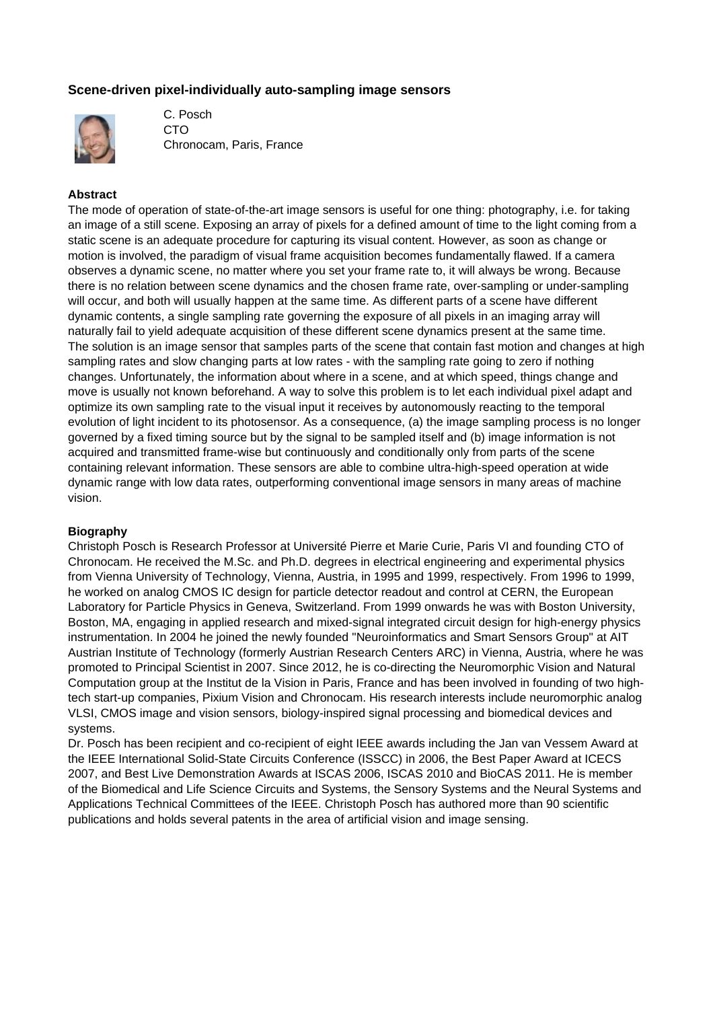# **Scene-driven pixel-individually auto-sampling image sensors**



C. Posch **CTO** Chronocam, Paris, France

### **Abstract**

The mode of operation of state-of-the-art image sensors is useful for one thing: photography, i.e. for taking an image of a still scene. Exposing an array of pixels for a defined amount of time to the light coming from a static scene is an adequate procedure for capturing its visual content. However, as soon as change or motion is involved, the paradigm of visual frame acquisition becomes fundamentally flawed. If a camera observes a dynamic scene, no matter where you set your frame rate to, it will always be wrong. Because there is no relation between scene dynamics and the chosen frame rate, over-sampling or under-sampling will occur, and both will usually happen at the same time. As different parts of a scene have different dynamic contents, a single sampling rate governing the exposure of all pixels in an imaging array will naturally fail to yield adequate acquisition of these different scene dynamics present at the same time. The solution is an image sensor that samples parts of the scene that contain fast motion and changes at high sampling rates and slow changing parts at low rates - with the sampling rate going to zero if nothing changes. Unfortunately, the information about where in a scene, and at which speed, things change and move is usually not known beforehand. A way to solve this problem is to let each individual pixel adapt and optimize its own sampling rate to the visual input it receives by autonomously reacting to the temporal evolution of light incident to its photosensor. As a consequence, (a) the image sampling process is no longer governed by a fixed timing source but by the signal to be sampled itself and (b) image information is not acquired and transmitted frame-wise but continuously and conditionally only from parts of the scene containing relevant information. These sensors are able to combine ultra-high-speed operation at wide dynamic range with low data rates, outperforming conventional image sensors in many areas of machine vision.

### **Biography**

Christoph Posch is Research Professor at Université Pierre et Marie Curie, Paris VI and founding CTO of Chronocam. He received the M.Sc. and Ph.D. degrees in electrical engineering and experimental physics from Vienna University of Technology, Vienna, Austria, in 1995 and 1999, respectively. From 1996 to 1999, he worked on analog CMOS IC design for particle detector readout and control at CERN, the European Laboratory for Particle Physics in Geneva, Switzerland. From 1999 onwards he was with Boston University, Boston, MA, engaging in applied research and mixed-signal integrated circuit design for high-energy physics instrumentation. In 2004 he joined the newly founded "Neuroinformatics and Smart Sensors Group" at AIT Austrian Institute of Technology (formerly Austrian Research Centers ARC) in Vienna, Austria, where he was promoted to Principal Scientist in 2007. Since 2012, he is co-directing the Neuromorphic Vision and Natural Computation group at the Institut de la Vision in Paris, France and has been involved in founding of two hightech start-up companies, Pixium Vision and Chronocam. His research interests include neuromorphic analog VLSI, CMOS image and vision sensors, biology-inspired signal processing and biomedical devices and systems.

Dr. Posch has been recipient and co-recipient of eight IEEE awards including the Jan van Vessem Award at the IEEE International Solid-State Circuits Conference (ISSCC) in 2006, the Best Paper Award at ICECS 2007, and Best Live Demonstration Awards at ISCAS 2006, ISCAS 2010 and BioCAS 2011. He is member of the Biomedical and Life Science Circuits and Systems, the Sensory Systems and the Neural Systems and Applications Technical Committees of the IEEE. Christoph Posch has authored more than 90 scientific publications and holds several patents in the area of artificial vision and image sensing.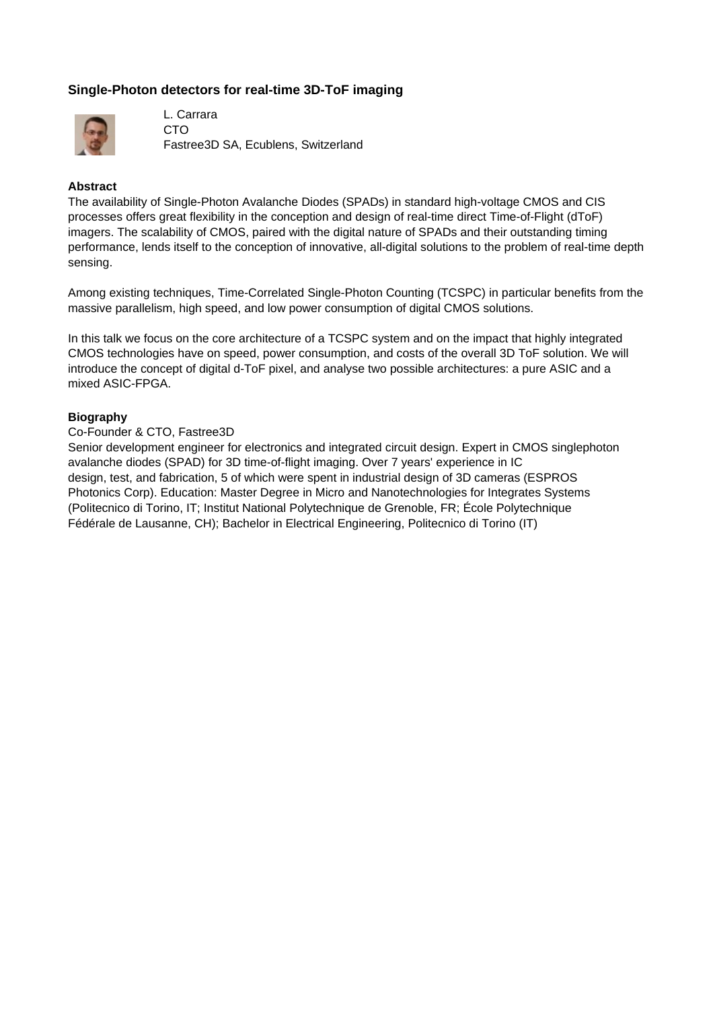# **Single-Photon detectors for real-time 3D-ToF imaging**



L. Carrara CTO Fastree3D SA, Ecublens, Switzerland

### **Abstract**

The availability of Single-Photon Avalanche Diodes (SPADs) in standard high-voltage CMOS and CIS processes offers great flexibility in the conception and design of real-time direct Time-of-Flight (dToF) imagers. The scalability of CMOS, paired with the digital nature of SPADs and their outstanding timing performance, lends itself to the conception of innovative, all-digital solutions to the problem of real-time depth sensing.

Among existing techniques, Time-Correlated Single-Photon Counting (TCSPC) in particular benefits from the massive parallelism, high speed, and low power consumption of digital CMOS solutions.

In this talk we focus on the core architecture of a TCSPC system and on the impact that highly integrated CMOS technologies have on speed, power consumption, and costs of the overall 3D ToF solution. We will introduce the concept of digital d-ToF pixel, and analyse two possible architectures: a pure ASIC and a mixed ASIC-FPGA.

### **Biography**

#### Co-Founder & CTO, Fastree3D

Senior development engineer for electronics and integrated circuit design. Expert in CMOS singlephoton avalanche diodes (SPAD) for 3D time-of-flight imaging. Over 7 years' experience in IC design, test, and fabrication, 5 of which were spent in industrial design of 3D cameras (ESPROS Photonics Corp). Education: Master Degree in Micro and Nanotechnologies for Integrates Systems (Politecnico di Torino, IT; Institut National Polytechnique de Grenoble, FR; École Polytechnique Fédérale de Lausanne, CH); Bachelor in Electrical Engineering, Politecnico di Torino (IT)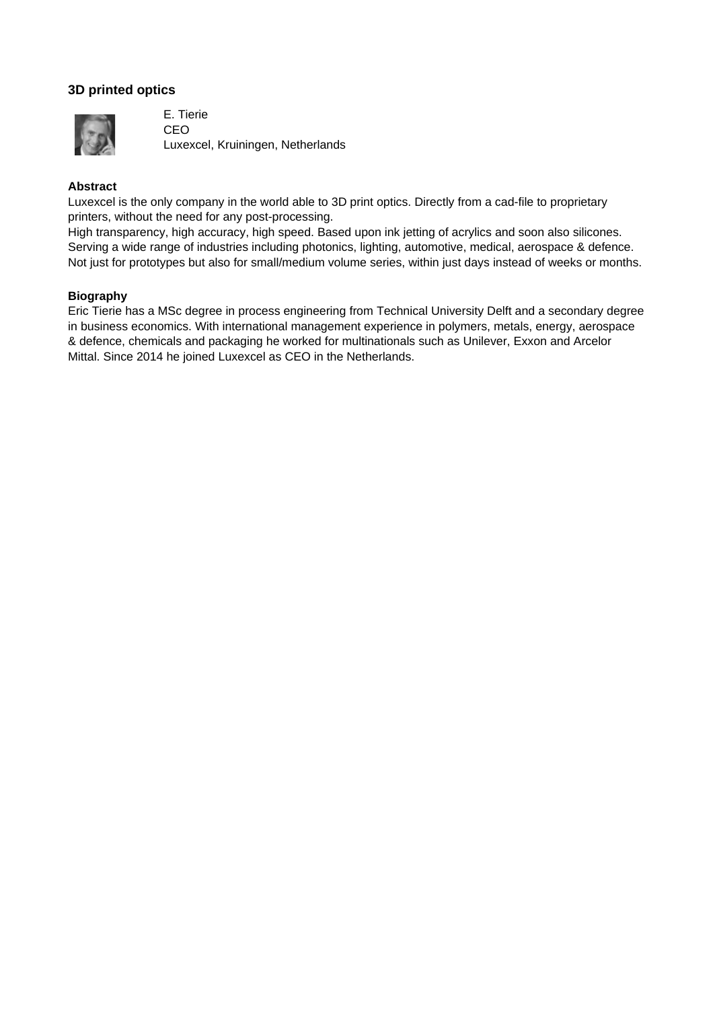# **3D printed optics**



E. Tierie CEO Luxexcel, Kruiningen, Netherlands

## **Abstract**

Luxexcel is the only company in the world able to 3D print optics. Directly from a cad-file to proprietary printers, without the need for any post-processing.

High transparency, high accuracy, high speed. Based upon ink jetting of acrylics and soon also silicones. Serving a wide range of industries including photonics, lighting, automotive, medical, aerospace & defence. Not just for prototypes but also for small/medium volume series, within just days instead of weeks or months.

### **Biography**

Eric Tierie has a MSc degree in process engineering from Technical University Delft and a secondary degree in business economics. With international management experience in polymers, metals, energy, aerospace & defence, chemicals and packaging he worked for multinationals such as Unilever, Exxon and Arcelor Mittal. Since 2014 he joined Luxexcel as CEO in the Netherlands.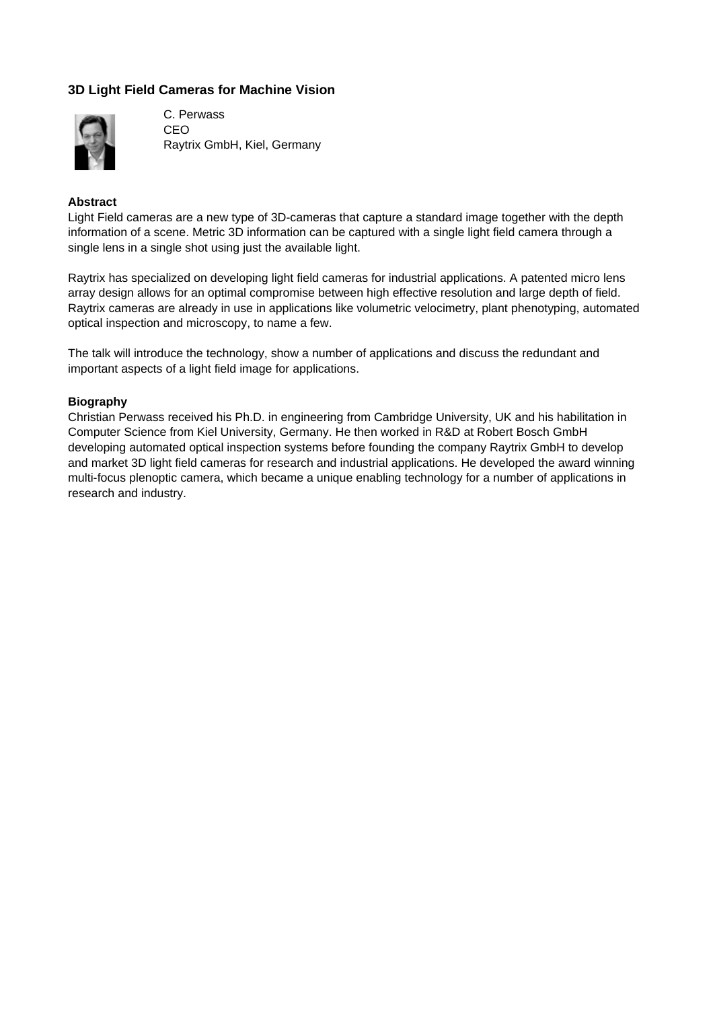# **3D Light Field Cameras for Machine Vision**



C. Perwass CEO Raytrix GmbH, Kiel, Germany

### **Abstract**

Light Field cameras are a new type of 3D-cameras that capture a standard image together with the depth information of a scene. Metric 3D information can be captured with a single light field camera through a single lens in a single shot using just the available light.

Raytrix has specialized on developing light field cameras for industrial applications. A patented micro lens array design allows for an optimal compromise between high effective resolution and large depth of field. Raytrix cameras are already in use in applications like volumetric velocimetry, plant phenotyping, automated optical inspection and microscopy, to name a few.

The talk will introduce the technology, show a number of applications and discuss the redundant and important aspects of a light field image for applications.

### **Biography**

Christian Perwass received his Ph.D. in engineering from Cambridge University, UK and his habilitation in Computer Science from Kiel University, Germany. He then worked in R&D at Robert Bosch GmbH developing automated optical inspection systems before founding the company Raytrix GmbH to develop and market 3D light field cameras for research and industrial applications. He developed the award winning multi-focus plenoptic camera, which became a unique enabling technology for a number of applications in research and industry.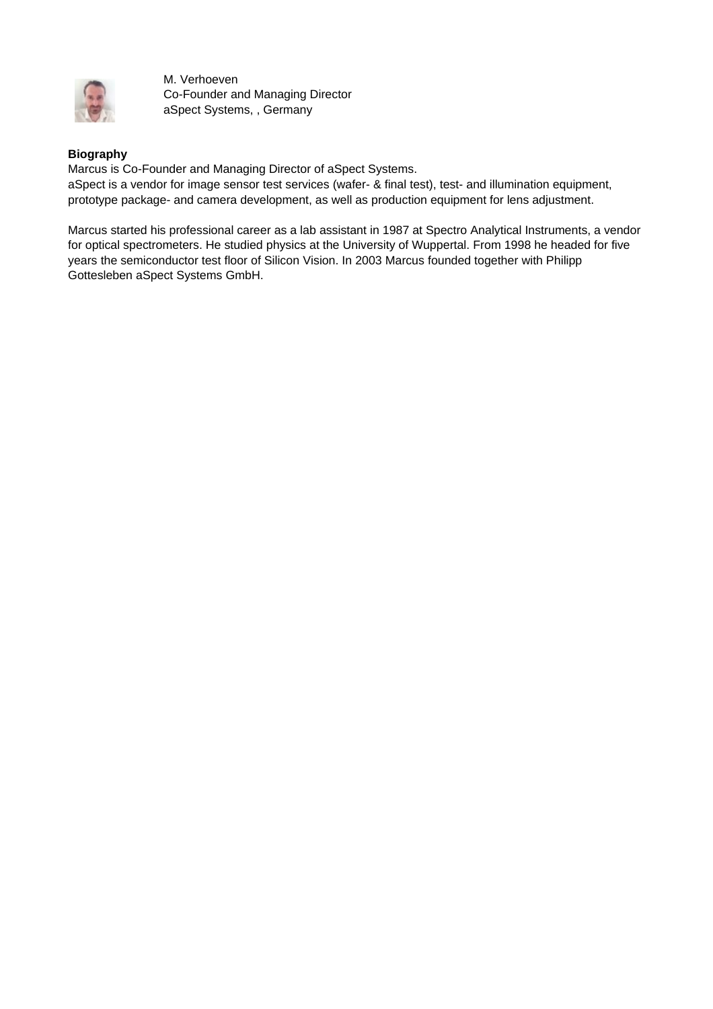

M. Verhoeven Co-Founder and Managing Director aSpect Systems, , Germany

## **Biography**

Marcus is Co-Founder and Managing Director of aSpect Systems. aSpect is a vendor for image sensor test services (wafer- & final test), test- and illumination equipment, prototype package- and camera development, as well as production equipment for lens adjustment.

Marcus started his professional career as a lab assistant in 1987 at Spectro Analytical Instruments, a vendor for optical spectrometers. He studied physics at the University of Wuppertal. From 1998 he headed for five years the semiconductor test floor of Silicon Vision. In 2003 Marcus founded together with Philipp Gottesleben aSpect Systems GmbH.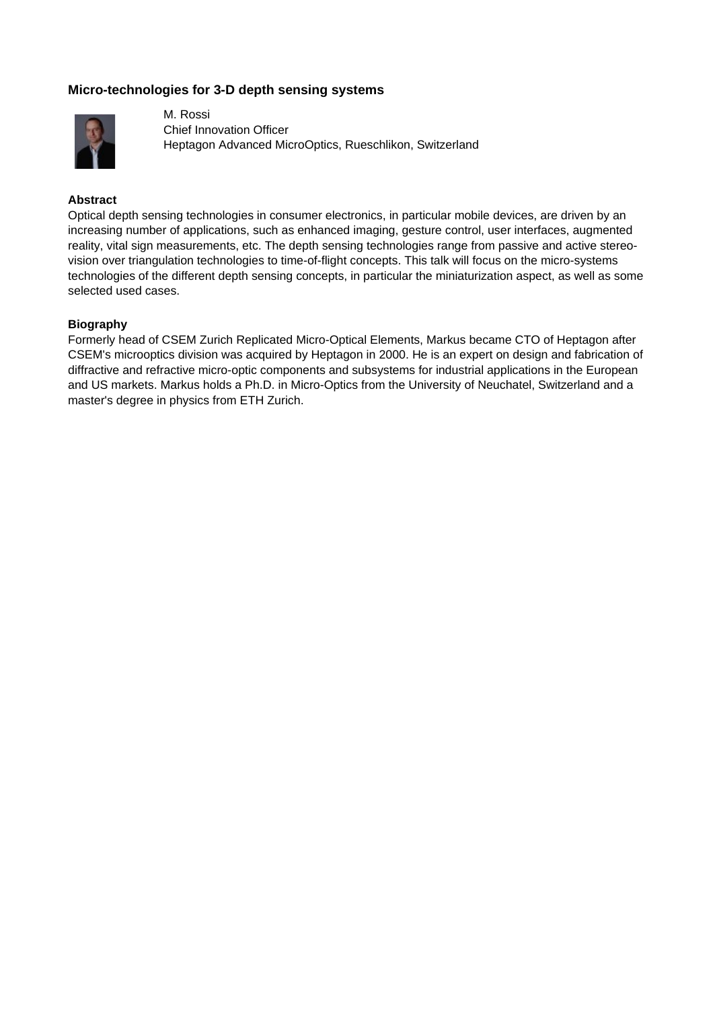# **Micro-technologies for 3-D depth sensing systems**



M. Rossi Chief Innovation Officer Heptagon Advanced MicroOptics, Rueschlikon, Switzerland

### **Abstract**

Optical depth sensing technologies in consumer electronics, in particular mobile devices, are driven by an increasing number of applications, such as enhanced imaging, gesture control, user interfaces, augmented reality, vital sign measurements, etc. The depth sensing technologies range from passive and active stereovision over triangulation technologies to time-of-flight concepts. This talk will focus on the micro-systems technologies of the different depth sensing concepts, in particular the miniaturization aspect, as well as some selected used cases.

### **Biography**

Formerly head of CSEM Zurich Replicated Micro-Optical Elements, Markus became CTO of Heptagon after CSEM's microoptics division was acquired by Heptagon in 2000. He is an expert on design and fabrication of diffractive and refractive micro-optic components and subsystems for industrial applications in the European and US markets. Markus holds a Ph.D. in Micro-Optics from the University of Neuchatel, Switzerland and a master's degree in physics from ETH Zurich.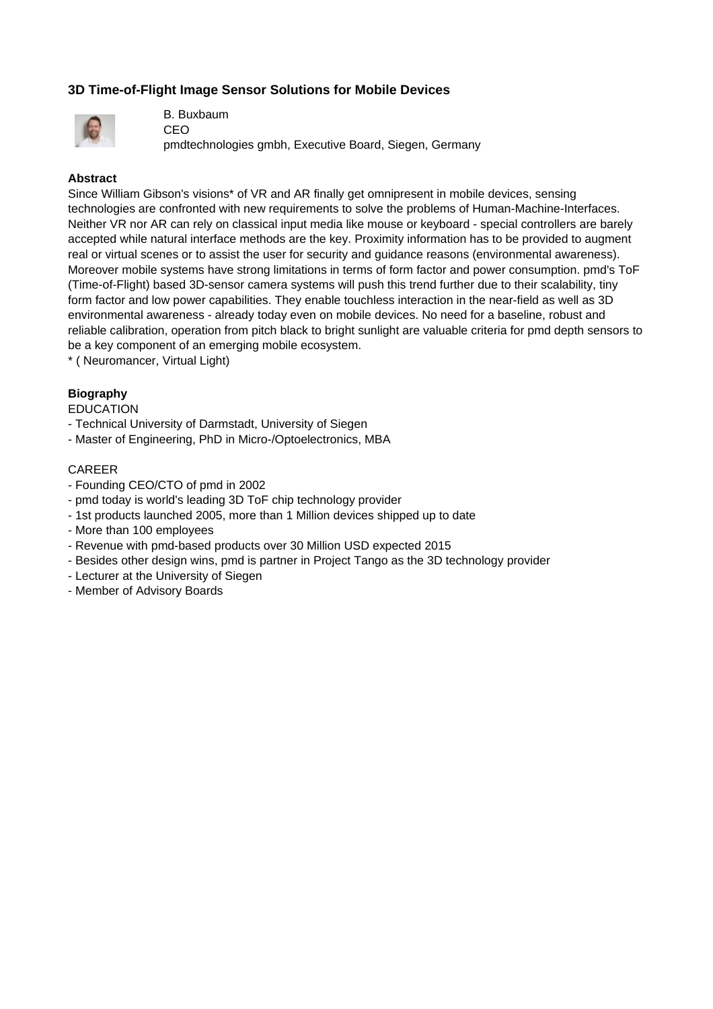# **3D Time-of-Flight Image Sensor Solutions for Mobile Devices**



B. Buxbaum CEO

pmdtechnologies gmbh, Executive Board, Siegen, Germany

### **Abstract**

Since William Gibson's visions\* of VR and AR finally get omnipresent in mobile devices, sensing technologies are confronted with new requirements to solve the problems of Human-Machine-Interfaces. Neither VR nor AR can rely on classical input media like mouse or keyboard - special controllers are barely accepted while natural interface methods are the key. Proximity information has to be provided to augment real or virtual scenes or to assist the user for security and guidance reasons (environmental awareness). Moreover mobile systems have strong limitations in terms of form factor and power consumption. pmd's ToF (Time-of-Flight) based 3D-sensor camera systems will push this trend further due to their scalability, tiny form factor and low power capabilities. They enable touchless interaction in the near-field as well as 3D environmental awareness - already today even on mobile devices. No need for a baseline, robust and reliable calibration, operation from pitch black to bright sunlight are valuable criteria for pmd depth sensors to be a key component of an emerging mobile ecosystem.

\* ( Neuromancer, Virtual Light)

### **Biography**

EDUCATION

- Technical University of Darmstadt, University of Siegen
- Master of Engineering, PhD in Micro-/Optoelectronics, MBA

### CAREER

- Founding CEO/CTO of pmd in 2002
- pmd today is world's leading 3D ToF chip technology provider
- 1st products launched 2005, more than 1 Million devices shipped up to date
- More than 100 employees
- Revenue with pmd-based products over 30 Million USD expected 2015
- Besides other design wins, pmd is partner in Project Tango as the 3D technology provider
- Lecturer at the University of Siegen
- Member of Advisory Boards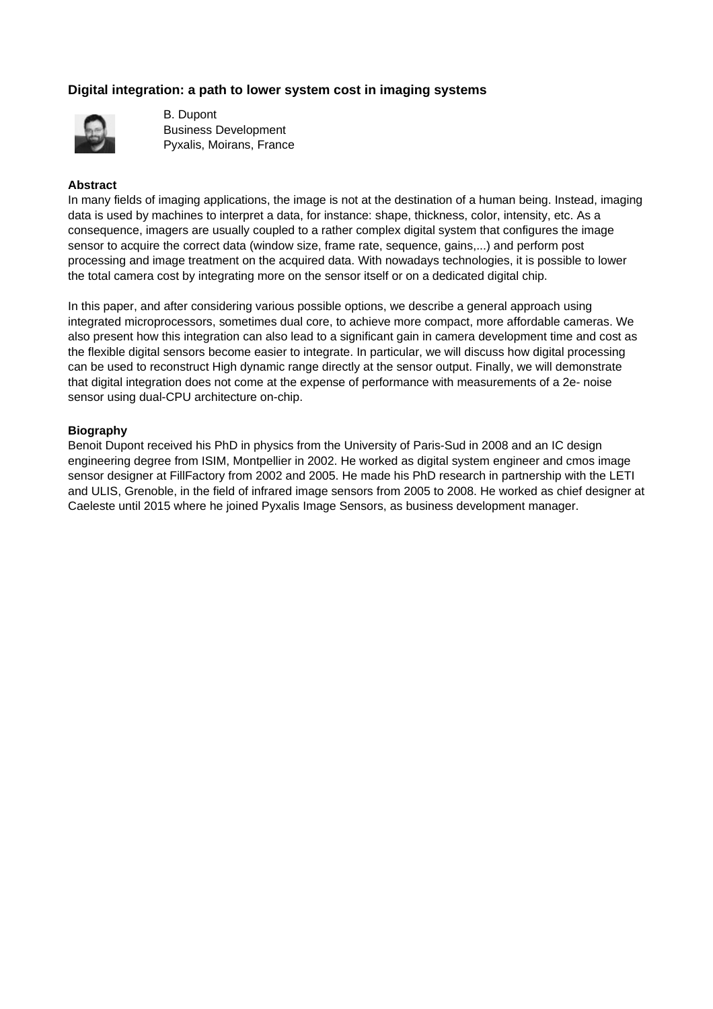# **Digital integration: a path to lower system cost in imaging systems**



B. Dupont Business Development Pyxalis, Moirans, France

### **Abstract**

In many fields of imaging applications, the image is not at the destination of a human being. Instead, imaging data is used by machines to interpret a data, for instance: shape, thickness, color, intensity, etc. As a consequence, imagers are usually coupled to a rather complex digital system that configures the image sensor to acquire the correct data (window size, frame rate, sequence, gains,...) and perform post processing and image treatment on the acquired data. With nowadays technologies, it is possible to lower the total camera cost by integrating more on the sensor itself or on a dedicated digital chip.

In this paper, and after considering various possible options, we describe a general approach using integrated microprocessors, sometimes dual core, to achieve more compact, more affordable cameras. We also present how this integration can also lead to a significant gain in camera development time and cost as the flexible digital sensors become easier to integrate. In particular, we will discuss how digital processing can be used to reconstruct High dynamic range directly at the sensor output. Finally, we will demonstrate that digital integration does not come at the expense of performance with measurements of a 2e- noise sensor using dual-CPU architecture on-chip.

### **Biography**

Benoit Dupont received his PhD in physics from the University of Paris-Sud in 2008 and an IC design engineering degree from ISIM, Montpellier in 2002. He worked as digital system engineer and cmos image sensor designer at FillFactory from 2002 and 2005. He made his PhD research in partnership with the LETI and ULIS, Grenoble, in the field of infrared image sensors from 2005 to 2008. He worked as chief designer at Caeleste until 2015 where he joined Pyxalis Image Sensors, as business development manager.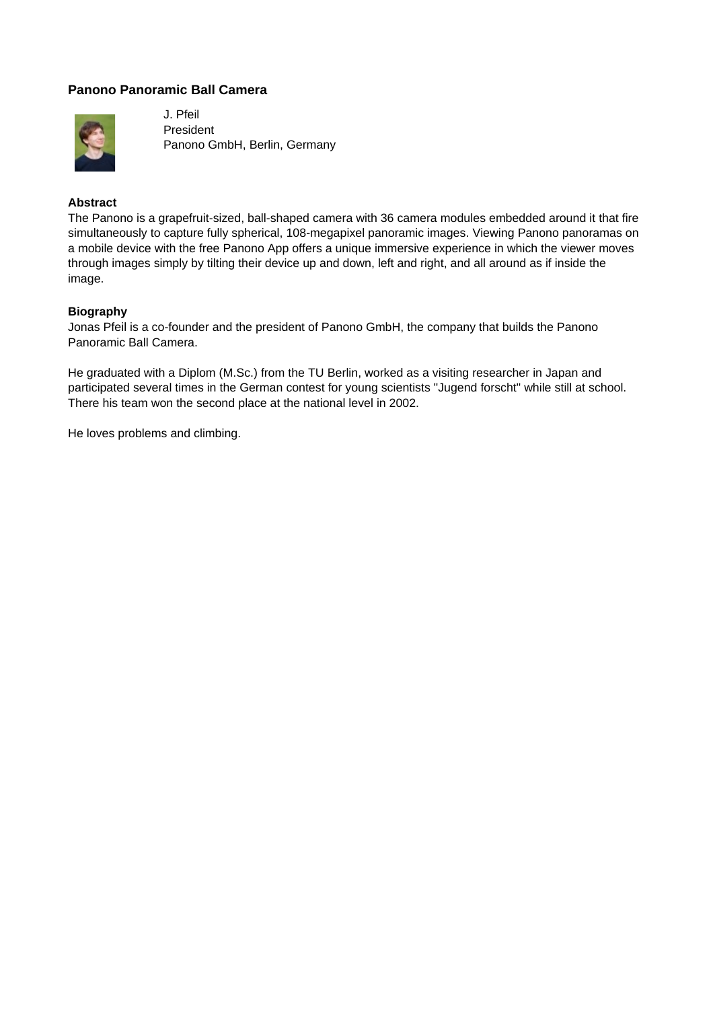## **Panono Panoramic Ball Camera**



J. Pfeil President Panono GmbH, Berlin, Germany

## **Abstract**

The Panono is a grapefruit-sized, ball-shaped camera with 36 camera modules embedded around it that fire simultaneously to capture fully spherical, 108-megapixel panoramic images. Viewing Panono panoramas on a mobile device with the free Panono App offers a unique immersive experience in which the viewer moves through images simply by tilting their device up and down, left and right, and all around as if inside the image.

### **Biography**

Jonas Pfeil is a co-founder and the president of Panono GmbH, the company that builds the Panono Panoramic Ball Camera.

He graduated with a Diplom (M.Sc.) from the TU Berlin, worked as a visiting researcher in Japan and participated several times in the German contest for young scientists "Jugend forscht" while still at school. There his team won the second place at the national level in 2002.

He loves problems and climbing.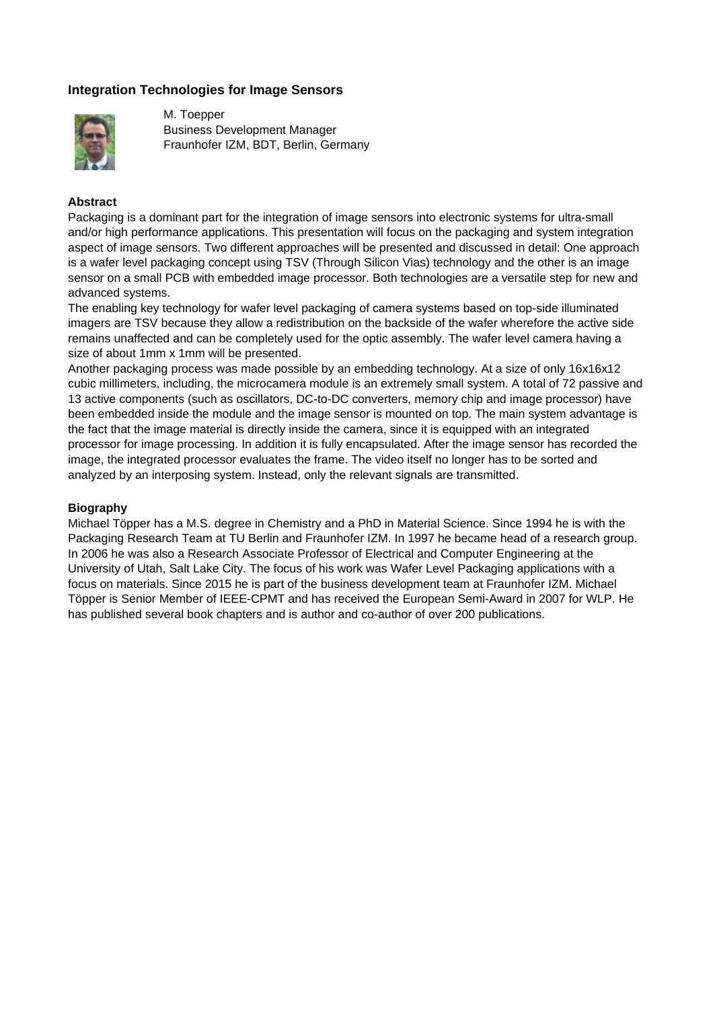## **Integration Technologies for Image Sensors**



M. Toepper Business Development Manager Fraunhofer IZM, BDT, Berlin, Germany

### **Abstract**

Packaging is a dominant part for the integration of image sensors into electronic systems for ultra-small and/or high performance applications. This presentation will focus on the packaging and system integration aspect of image sensors. Two different approaches will be presented and discussed in detail: One approach is a wafer level packaging concept using TSV (Through Silicon Vias) technology and the other is an image sensor on a small PCB with embedded image processor. Both technologies are a versatile step for new and advanced systems.

The enabling key technology for wafer level packaging of camera systems based on top-side illuminated imagers are TSV because they allow a redistribution on the backside of the wafer wherefore the active side remains unaffected and can be completely used for the optic assembly. The wafer level camera having a size of about 1mm x 1mm will be presented.

Another packaging process was made possible by an embedding technology. At a size of only 16x16x12 cubic millimeters, including, the microcamera module is an extremely small system. A total of 72 passive and 13 active components (such as oscillators, DC-to-DC converters, memory chip and image processor) have been embedded inside the module and the image sensor is mounted on top. The main system advantage is the fact that the image material is directly inside the camera, since it is equipped with an integrated processor for image processing. In addition it is fully encapsulated. After the image sensor has recorded the image, the integrated processor evaluates the frame. The video itself no longer has to be sorted and analyzed by an interposing system. Instead, only the relevant signals are transmitted.

### **Biography**

Michael Töpper has a M.S. degree in Chemistry and a PhD in Material Science. Since 1994 he is with the Packaging Research Team at TU Berlin and Fraunhofer IZM. In 1997 he became head of a research group. In 2006 he was also a Research Associate Professor of Electrical and Computer Engineering at the University of Utah, Salt Lake City. The focus of his work was Wafer Level Packaging applications with a focus on materials. Since 2015 he is part of the business development team at Fraunhofer IZM. Michael Töpper is Senior Member of IEEE-CPMT and has received the European Semi-Award in 2007 for WLP. He has published several book chapters and is author and co-author of over 200 publications.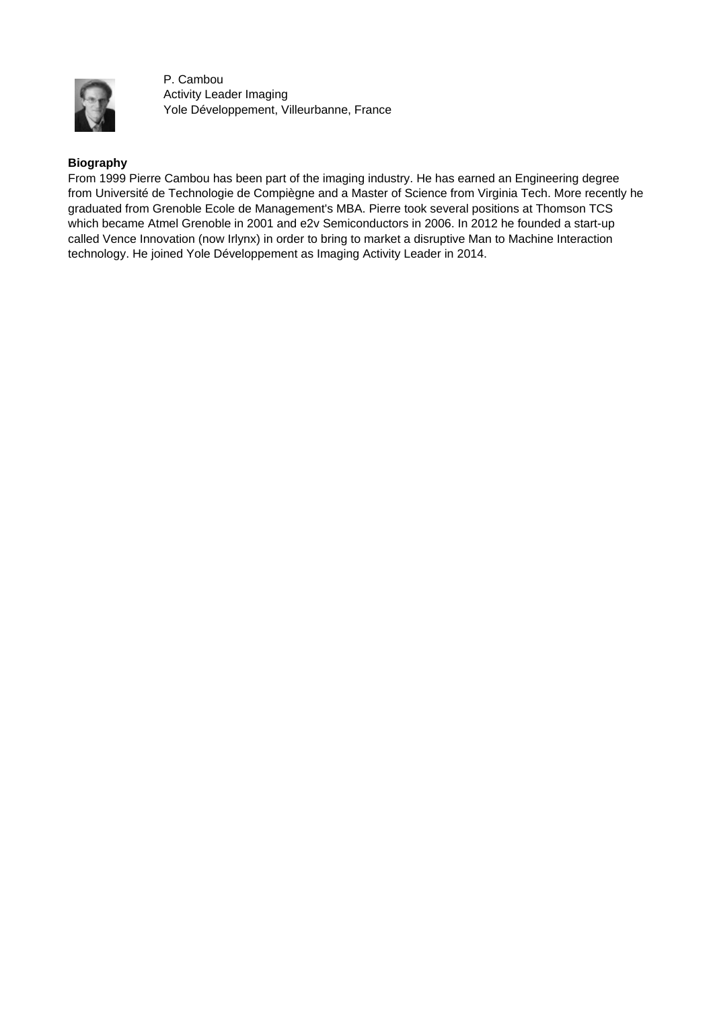

P. Cambou Activity Leader Imaging Yole Développement, Villeurbanne, France

### **Biography**

From 1999 Pierre Cambou has been part of the imaging industry. He has earned an Engineering degree from Université de Technologie de Compiègne and a Master of Science from Virginia Tech. More recently he graduated from Grenoble Ecole de Management's MBA. Pierre took several positions at Thomson TCS which became Atmel Grenoble in 2001 and e2v Semiconductors in 2006. In 2012 he founded a start-up called Vence Innovation (now Irlynx) in order to bring to market a disruptive Man to Machine Interaction technology. He joined Yole Développement as Imaging Activity Leader in 2014.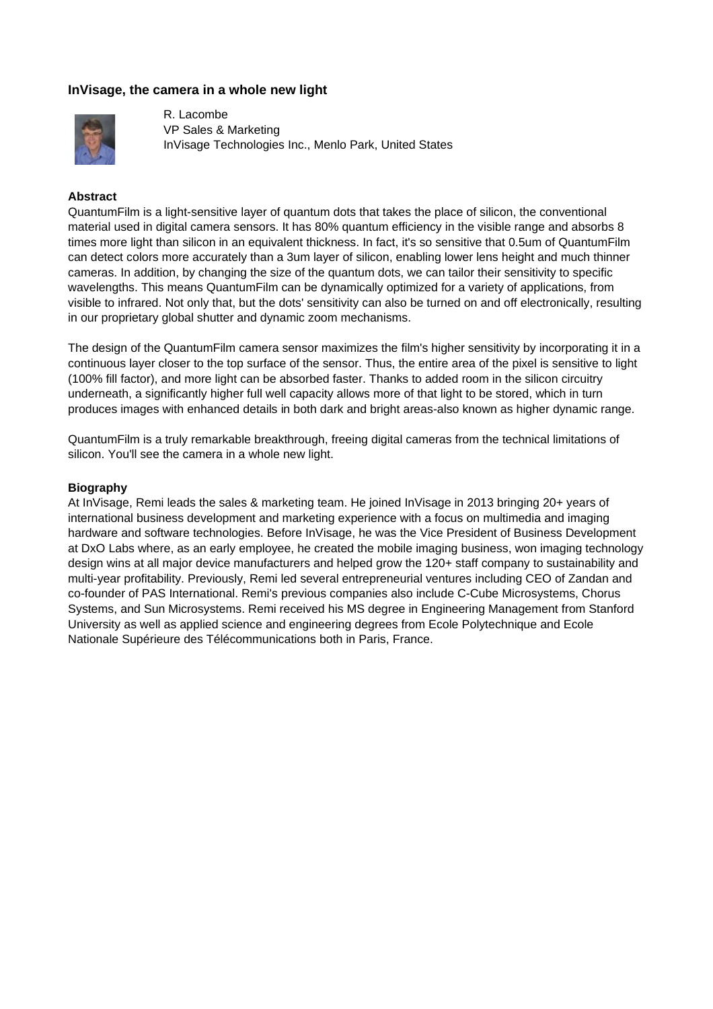# **InVisage, the camera in a whole new light**



R. Lacombe VP Sales & Marketing InVisage Technologies Inc., Menlo Park, United States

#### **Abstract**

QuantumFilm is a light-sensitive layer of quantum dots that takes the place of silicon, the conventional material used in digital camera sensors. It has 80% quantum efficiency in the visible range and absorbs 8 times more light than silicon in an equivalent thickness. In fact, it's so sensitive that 0.5um of QuantumFilm can detect colors more accurately than a 3um layer of silicon, enabling lower lens height and much thinner cameras. In addition, by changing the size of the quantum dots, we can tailor their sensitivity to specific wavelengths. This means QuantumFilm can be dynamically optimized for a variety of applications, from visible to infrared. Not only that, but the dots' sensitivity can also be turned on and off electronically, resulting in our proprietary global shutter and dynamic zoom mechanisms.

The design of the QuantumFilm camera sensor maximizes the film's higher sensitivity by incorporating it in a continuous layer closer to the top surface of the sensor. Thus, the entire area of the pixel is sensitive to light (100% fill factor), and more light can be absorbed faster. Thanks to added room in the silicon circuitry underneath, a significantly higher full well capacity allows more of that light to be stored, which in turn produces images with enhanced details in both dark and bright areas-also known as higher dynamic range.

QuantumFilm is a truly remarkable breakthrough, freeing digital cameras from the technical limitations of silicon. You'll see the camera in a whole new light.

#### **Biography**

At InVisage, Remi leads the sales & marketing team. He joined InVisage in 2013 bringing 20+ years of international business development and marketing experience with a focus on multimedia and imaging hardware and software technologies. Before InVisage, he was the Vice President of Business Development at DxO Labs where, as an early employee, he created the mobile imaging business, won imaging technology design wins at all major device manufacturers and helped grow the 120+ staff company to sustainability and multi-year profitability. Previously, Remi led several entrepreneurial ventures including CEO of Zandan and co-founder of PAS International. Remi's previous companies also include C-Cube Microsystems, Chorus Systems, and Sun Microsystems. Remi received his MS degree in Engineering Management from Stanford University as well as applied science and engineering degrees from Ecole Polytechnique and Ecole Nationale Supérieure des Télécommunications both in Paris, France.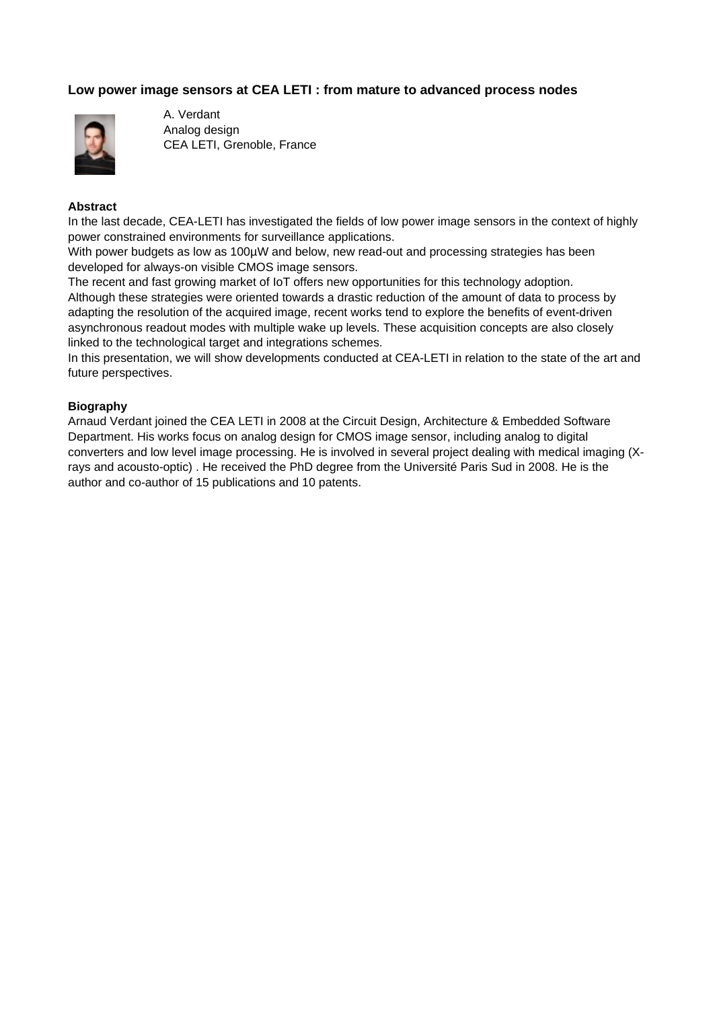## **Low power image sensors at CEA LETI : from mature to advanced process nodes**



A. Verdant Analog design CEA LETI, Grenoble, France

### **Abstract**

In the last decade, CEA-LETI has investigated the fields of low power image sensors in the context of highly power constrained environments for surveillance applications.

With power budgets as low as 100µW and below, new read-out and processing strategies has been developed for always-on visible CMOS image sensors.

The recent and fast growing market of IoT offers new opportunities for this technology adoption.

Although these strategies were oriented towards a drastic reduction of the amount of data to process by adapting the resolution of the acquired image, recent works tend to explore the benefits of event-driven asynchronous readout modes with multiple wake up levels. These acquisition concepts are also closely linked to the technological target and integrations schemes.

In this presentation, we will show developments conducted at CEA-LETI in relation to the state of the art and future perspectives.

### **Biography**

Arnaud Verdant joined the CEA LETI in 2008 at the Circuit Design, Architecture & Embedded Software Department. His works focus on analog design for CMOS image sensor, including analog to digital converters and low level image processing. He is involved in several project dealing with medical imaging (Xrays and acousto-optic) . He received the PhD degree from the Université Paris Sud in 2008. He is the author and co-author of 15 publications and 10 patents.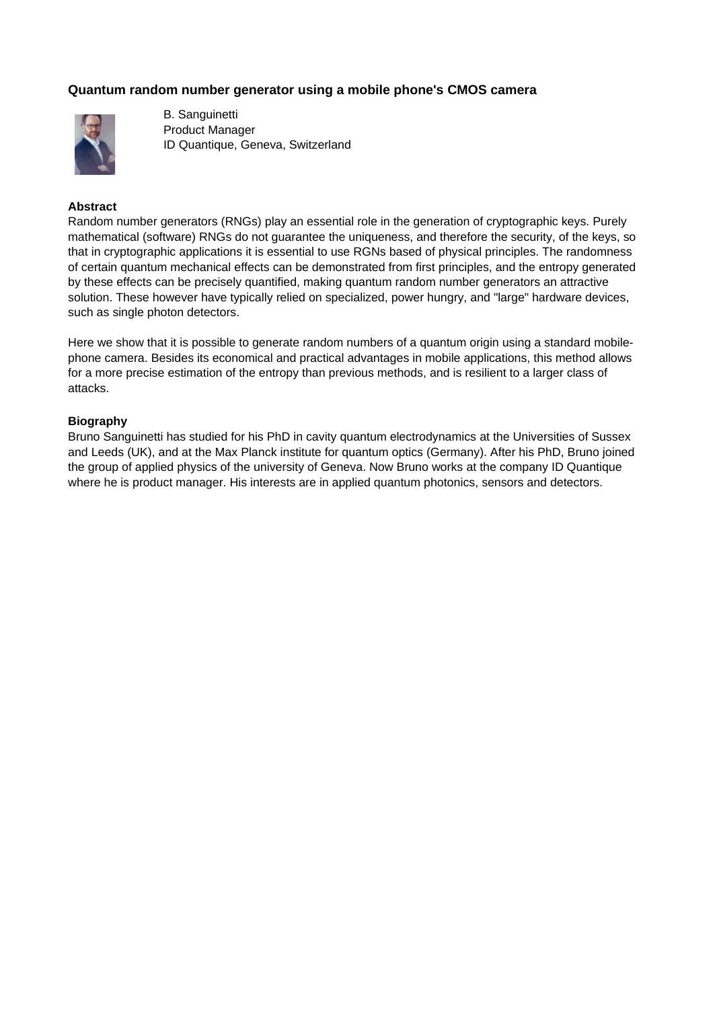# **Quantum random number generator using a mobile phone's CMOS camera**



B. Sanguinetti Product Manager ID Quantique, Geneva, Switzerland

### **Abstract**

Random number generators (RNGs) play an essential role in the generation of cryptographic keys. Purely mathematical (software) RNGs do not guarantee the uniqueness, and therefore the security, of the keys, so that in cryptographic applications it is essential to use RGNs based of physical principles. The randomness of certain quantum mechanical effects can be demonstrated from first principles, and the entropy generated by these effects can be precisely quantified, making quantum random number generators an attractive solution. These however have typically relied on specialized, power hungry, and "large" hardware devices, such as single photon detectors.

Here we show that it is possible to generate random numbers of a quantum origin using a standard mobilephone camera. Besides its economical and practical advantages in mobile applications, this method allows for a more precise estimation of the entropy than previous methods, and is resilient to a larger class of attacks.

### **Biography**

Bruno Sanguinetti has studied for his PhD in cavity quantum electrodynamics at the Universities of Sussex and Leeds (UK), and at the Max Planck institute for quantum optics (Germany). After his PhD, Bruno joined the group of applied physics of the university of Geneva. Now Bruno works at the company ID Quantique where he is product manager. His interests are in applied quantum photonics, sensors and detectors.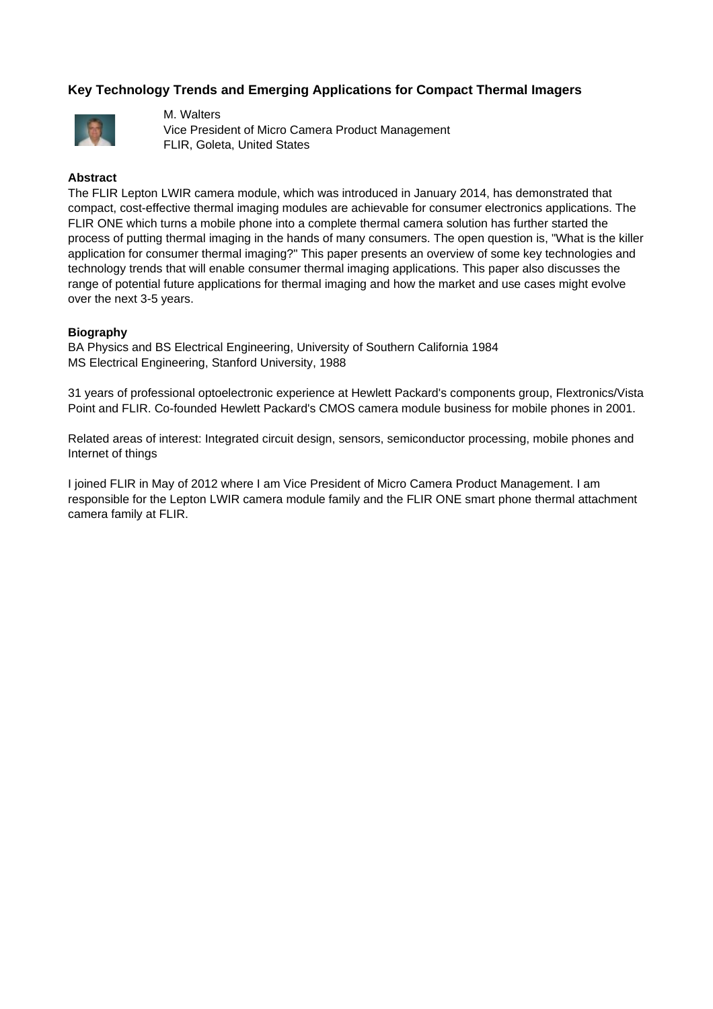# **Key Technology Trends and Emerging Applications for Compact Thermal Imagers**



M. Walters Vice President of Micro Camera Product Management FLIR, Goleta, United States

### **Abstract**

The FLIR Lepton LWIR camera module, which was introduced in January 2014, has demonstrated that compact, cost-effective thermal imaging modules are achievable for consumer electronics applications. The FLIR ONE which turns a mobile phone into a complete thermal camera solution has further started the process of putting thermal imaging in the hands of many consumers. The open question is, "What is the killer application for consumer thermal imaging?" This paper presents an overview of some key technologies and technology trends that will enable consumer thermal imaging applications. This paper also discusses the range of potential future applications for thermal imaging and how the market and use cases might evolve over the next 3-5 years.

### **Biography**

BA Physics and BS Electrical Engineering, University of Southern California 1984 MS Electrical Engineering, Stanford University, 1988

31 years of professional optoelectronic experience at Hewlett Packard's components group, Flextronics/Vista Point and FLIR. Co-founded Hewlett Packard's CMOS camera module business for mobile phones in 2001.

Related areas of interest: Integrated circuit design, sensors, semiconductor processing, mobile phones and Internet of things

I joined FLIR in May of 2012 where I am Vice President of Micro Camera Product Management. I am responsible for the Lepton LWIR camera module family and the FLIR ONE smart phone thermal attachment camera family at FLIR.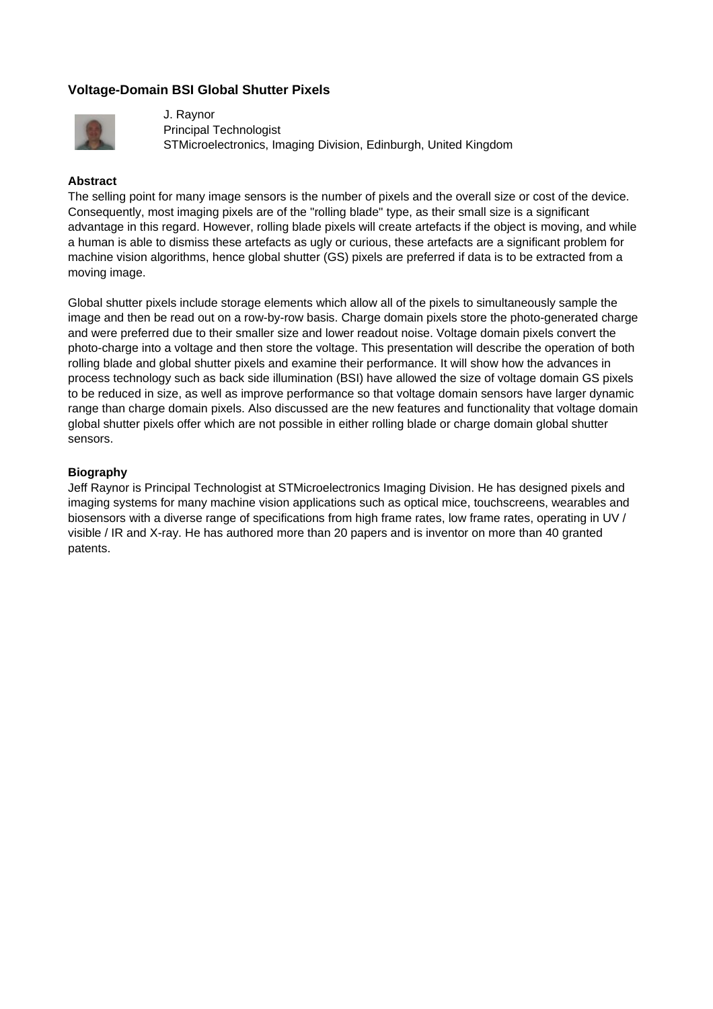# **Voltage-Domain BSI Global Shutter Pixels**



J. Raynor Principal Technologist STMicroelectronics, Imaging Division, Edinburgh, United Kingdom

### **Abstract**

The selling point for many image sensors is the number of pixels and the overall size or cost of the device. Consequently, most imaging pixels are of the "rolling blade" type, as their small size is a significant advantage in this regard. However, rolling blade pixels will create artefacts if the object is moving, and while a human is able to dismiss these artefacts as ugly or curious, these artefacts are a significant problem for machine vision algorithms, hence global shutter (GS) pixels are preferred if data is to be extracted from a moving image.

Global shutter pixels include storage elements which allow all of the pixels to simultaneously sample the image and then be read out on a row-by-row basis. Charge domain pixels store the photo-generated charge and were preferred due to their smaller size and lower readout noise. Voltage domain pixels convert the photo-charge into a voltage and then store the voltage. This presentation will describe the operation of both rolling blade and global shutter pixels and examine their performance. It will show how the advances in process technology such as back side illumination (BSI) have allowed the size of voltage domain GS pixels to be reduced in size, as well as improve performance so that voltage domain sensors have larger dynamic range than charge domain pixels. Also discussed are the new features and functionality that voltage domain global shutter pixels offer which are not possible in either rolling blade or charge domain global shutter sensors.

### **Biography**

Jeff Raynor is Principal Technologist at STMicroelectronics Imaging Division. He has designed pixels and imaging systems for many machine vision applications such as optical mice, touchscreens, wearables and biosensors with a diverse range of specifications from high frame rates, low frame rates, operating in UV / visible / IR and X-ray. He has authored more than 20 papers and is inventor on more than 40 granted patents.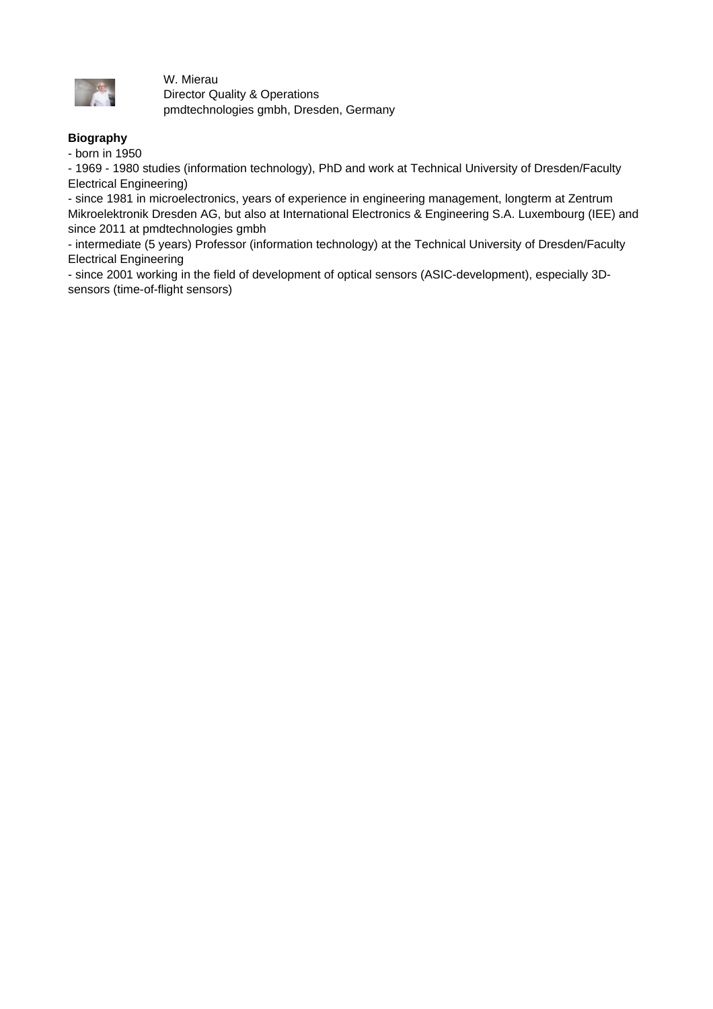

W. Mierau Director Quality & Operations pmdtechnologies gmbh, Dresden, Germany

## **Biography**

- born in 1950

- 1969 - 1980 studies (information technology), PhD and work at Technical University of Dresden/Faculty Electrical Engineering)

- since 1981 in microelectronics, years of experience in engineering management, longterm at Zentrum Mikroelektronik Dresden AG, but also at International Electronics & Engineering S.A. Luxembourg (IEE) and since 2011 at pmdtechnologies gmbh

- intermediate (5 years) Professor (information technology) at the Technical University of Dresden/Faculty Electrical Engineering

- since 2001 working in the field of development of optical sensors (ASIC-development), especially 3Dsensors (time-of-flight sensors)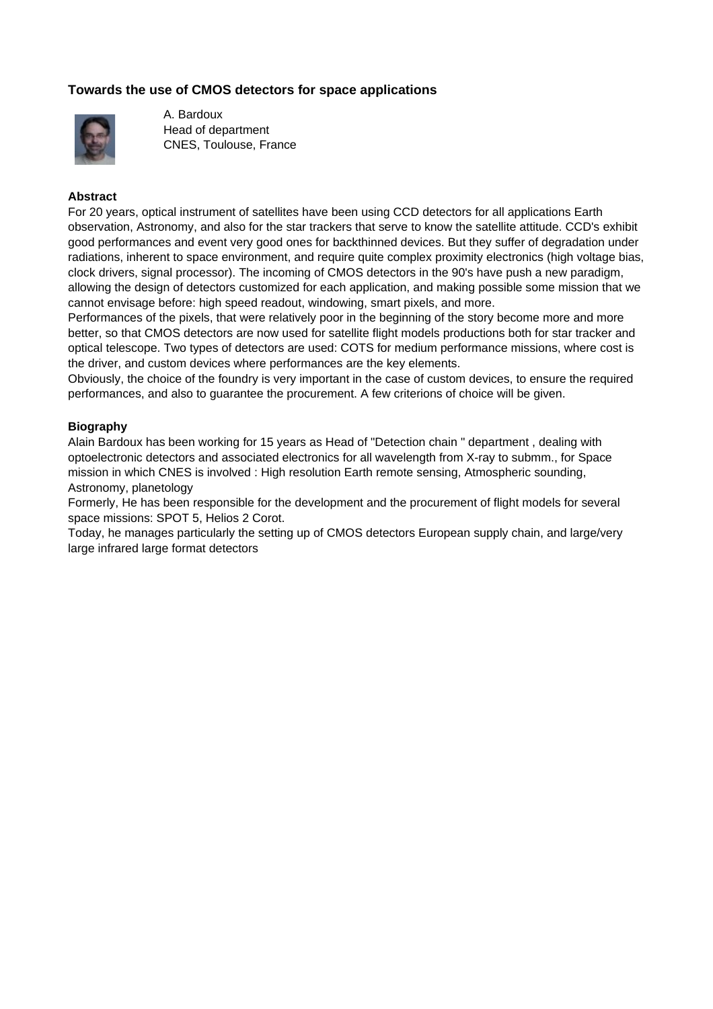# **Towards the use of CMOS detectors for space applications**



A. Bardoux Head of department CNES, Toulouse, France

#### **Abstract**

For 20 years, optical instrument of satellites have been using CCD detectors for all applications Earth observation, Astronomy, and also for the star trackers that serve to know the satellite attitude. CCD's exhibit good performances and event very good ones for backthinned devices. But they suffer of degradation under radiations, inherent to space environment, and require quite complex proximity electronics (high voltage bias, clock drivers, signal processor). The incoming of CMOS detectors in the 90's have push a new paradigm, allowing the design of detectors customized for each application, and making possible some mission that we cannot envisage before: high speed readout, windowing, smart pixels, and more.

Performances of the pixels, that were relatively poor in the beginning of the story become more and more better, so that CMOS detectors are now used for satellite flight models productions both for star tracker and optical telescope. Two types of detectors are used: COTS for medium performance missions, where cost is the driver, and custom devices where performances are the key elements.

Obviously, the choice of the foundry is very important in the case of custom devices, to ensure the required performances, and also to guarantee the procurement. A few criterions of choice will be given.

### **Biography**

Alain Bardoux has been working for 15 years as Head of "Detection chain " department , dealing with optoelectronic detectors and associated electronics for all wavelength from X-ray to submm., for Space mission in which CNES is involved : High resolution Earth remote sensing, Atmospheric sounding, Astronomy, planetology

Formerly, He has been responsible for the development and the procurement of flight models for several space missions: SPOT 5, Helios 2 Corot.

Today, he manages particularly the setting up of CMOS detectors European supply chain, and large/very large infrared large format detectors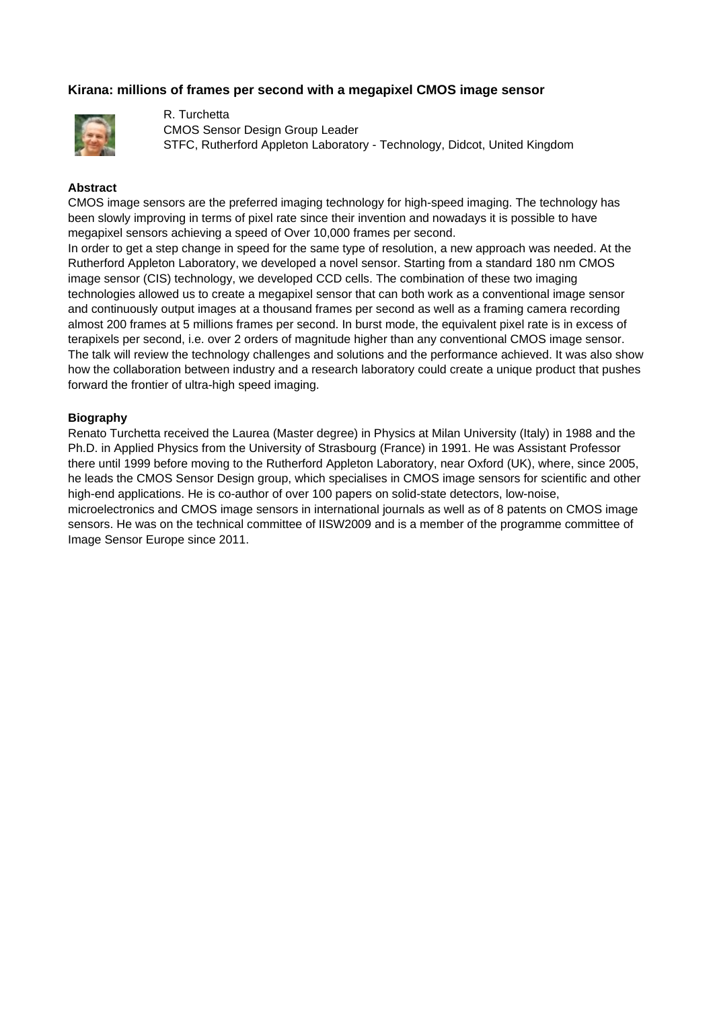## **Kirana: millions of frames per second with a megapixel CMOS image sensor**



R. Turchetta CMOS Sensor Design Group Leader STFC, Rutherford Appleton Laboratory - Technology, Didcot, United Kingdom

#### **Abstract**

CMOS image sensors are the preferred imaging technology for high-speed imaging. The technology has been slowly improving in terms of pixel rate since their invention and nowadays it is possible to have megapixel sensors achieving a speed of Over 10,000 frames per second.

In order to get a step change in speed for the same type of resolution, a new approach was needed. At the Rutherford Appleton Laboratory, we developed a novel sensor. Starting from a standard 180 nm CMOS image sensor (CIS) technology, we developed CCD cells. The combination of these two imaging technologies allowed us to create a megapixel sensor that can both work as a conventional image sensor and continuously output images at a thousand frames per second as well as a framing camera recording almost 200 frames at 5 millions frames per second. In burst mode, the equivalent pixel rate is in excess of terapixels per second, i.e. over 2 orders of magnitude higher than any conventional CMOS image sensor. The talk will review the technology challenges and solutions and the performance achieved. It was also show how the collaboration between industry and a research laboratory could create a unique product that pushes forward the frontier of ultra-high speed imaging.

#### **Biography**

Renato Turchetta received the Laurea (Master degree) in Physics at Milan University (Italy) in 1988 and the Ph.D. in Applied Physics from the University of Strasbourg (France) in 1991. He was Assistant Professor there until 1999 before moving to the Rutherford Appleton Laboratory, near Oxford (UK), where, since 2005, he leads the CMOS Sensor Design group, which specialises in CMOS image sensors for scientific and other high-end applications. He is co-author of over 100 papers on solid-state detectors, low-noise, microelectronics and CMOS image sensors in international journals as well as of 8 patents on CMOS image sensors. He was on the technical committee of IISW2009 and is a member of the programme committee of Image Sensor Europe since 2011.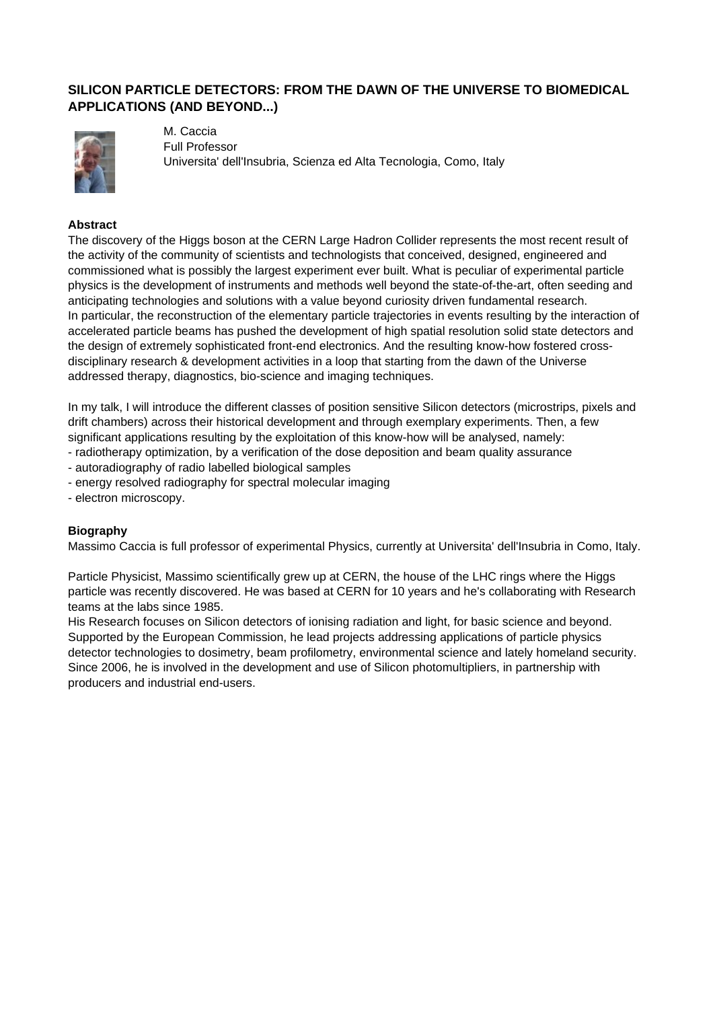# **SILICON PARTICLE DETECTORS: FROM THE DAWN OF THE UNIVERSE TO BIOMEDICAL APPLICATIONS (AND BEYOND...)**



M. Caccia Full Professor Universita' dell'Insubria, Scienza ed Alta Tecnologia, Como, Italy

### **Abstract**

The discovery of the Higgs boson at the CERN Large Hadron Collider represents the most recent result of the activity of the community of scientists and technologists that conceived, designed, engineered and commissioned what is possibly the largest experiment ever built. What is peculiar of experimental particle physics is the development of instruments and methods well beyond the state-of-the-art, often seeding and anticipating technologies and solutions with a value beyond curiosity driven fundamental research. In particular, the reconstruction of the elementary particle trajectories in events resulting by the interaction of accelerated particle beams has pushed the development of high spatial resolution solid state detectors and the design of extremely sophisticated front-end electronics. And the resulting know-how fostered crossdisciplinary research & development activities in a loop that starting from the dawn of the Universe addressed therapy, diagnostics, bio-science and imaging techniques.

In my talk, I will introduce the different classes of position sensitive Silicon detectors (microstrips, pixels and drift chambers) across their historical development and through exemplary experiments. Then, a few significant applications resulting by the exploitation of this know-how will be analysed, namely:

- radiotherapy optimization, by a verification of the dose deposition and beam quality assurance
- autoradiography of radio labelled biological samples
- energy resolved radiography for spectral molecular imaging
- electron microscopy.

### **Biography**

Massimo Caccia is full professor of experimental Physics, currently at Universita' dell'Insubria in Como, Italy.

Particle Physicist, Massimo scientifically grew up at CERN, the house of the LHC rings where the Higgs particle was recently discovered. He was based at CERN for 10 years and he's collaborating with Research teams at the labs since 1985.

His Research focuses on Silicon detectors of ionising radiation and light, for basic science and beyond. Supported by the European Commission, he lead projects addressing applications of particle physics detector technologies to dosimetry, beam profilometry, environmental science and lately homeland security. Since 2006, he is involved in the development and use of Silicon photomultipliers, in partnership with producers and industrial end-users.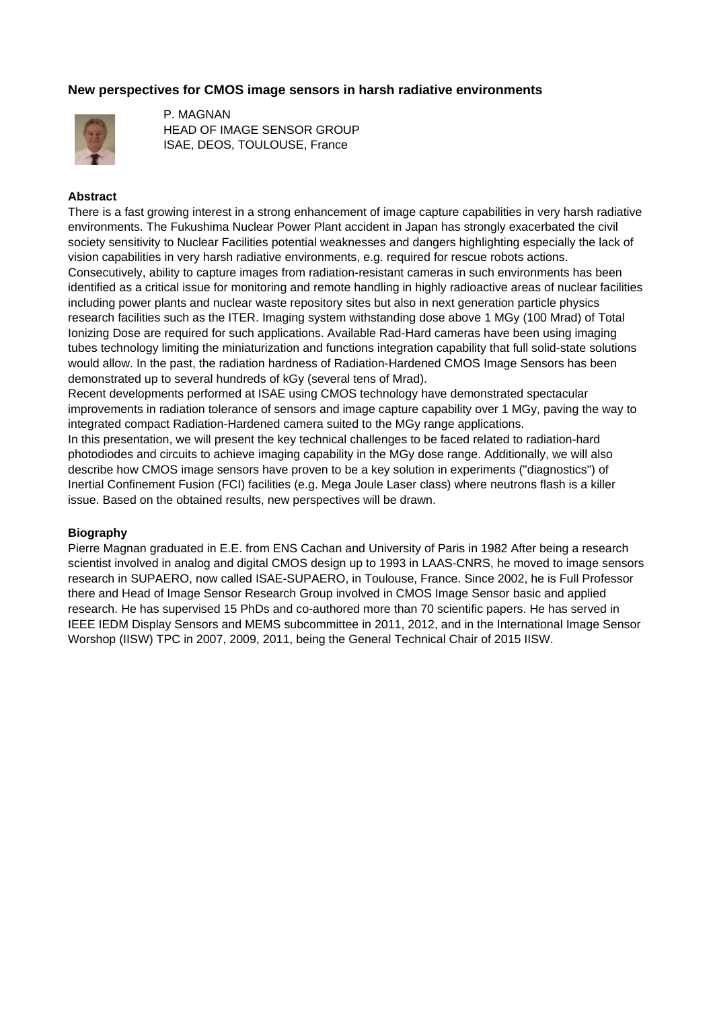## **New perspectives for CMOS image sensors in harsh radiative environments**



P. MAGNAN HEAD OF IMAGE SENSOR GROUP ISAE, DEOS, TOULOUSE, France

#### **Abstract**

There is a fast growing interest in a strong enhancement of image capture capabilities in very harsh radiative environments. The Fukushima Nuclear Power Plant accident in Japan has strongly exacerbated the civil society sensitivity to Nuclear Facilities potential weaknesses and dangers highlighting especially the lack of vision capabilities in very harsh radiative environments, e.g. required for rescue robots actions. Consecutively, ability to capture images from radiation-resistant cameras in such environments has been identified as a critical issue for monitoring and remote handling in highly radioactive areas of nuclear facilities including power plants and nuclear waste repository sites but also in next generation particle physics research facilities such as the ITER. Imaging system withstanding dose above 1 MGy (100 Mrad) of Total Ionizing Dose are required for such applications. Available Rad-Hard cameras have been using imaging tubes technology limiting the miniaturization and functions integration capability that full solid-state solutions would allow. In the past, the radiation hardness of Radiation-Hardened CMOS Image Sensors has been demonstrated up to several hundreds of kGy (several tens of Mrad).

Recent developments performed at ISAE using CMOS technology have demonstrated spectacular improvements in radiation tolerance of sensors and image capture capability over 1 MGy, paving the way to integrated compact Radiation-Hardened camera suited to the MGy range applications.

In this presentation, we will present the key technical challenges to be faced related to radiation-hard photodiodes and circuits to achieve imaging capability in the MGy dose range. Additionally, we will also describe how CMOS image sensors have proven to be a key solution in experiments ("diagnostics") of Inertial Confinement Fusion (FCI) facilities (e.g. Mega Joule Laser class) where neutrons flash is a killer issue. Based on the obtained results, new perspectives will be drawn.

### **Biography**

Pierre Magnan graduated in E.E. from ENS Cachan and University of Paris in 1982 After being a research scientist involved in analog and digital CMOS design up to 1993 in LAAS-CNRS, he moved to image sensors research in SUPAERO, now called ISAE-SUPAERO, in Toulouse, France. Since 2002, he is Full Professor there and Head of Image Sensor Research Group involved in CMOS Image Sensor basic and applied research. He has supervised 15 PhDs and co-authored more than 70 scientific papers. He has served in IEEE IEDM Display Sensors and MEMS subcommittee in 2011, 2012, and in the International Image Sensor Worshop (IISW) TPC in 2007, 2009, 2011, being the General Technical Chair of 2015 IISW.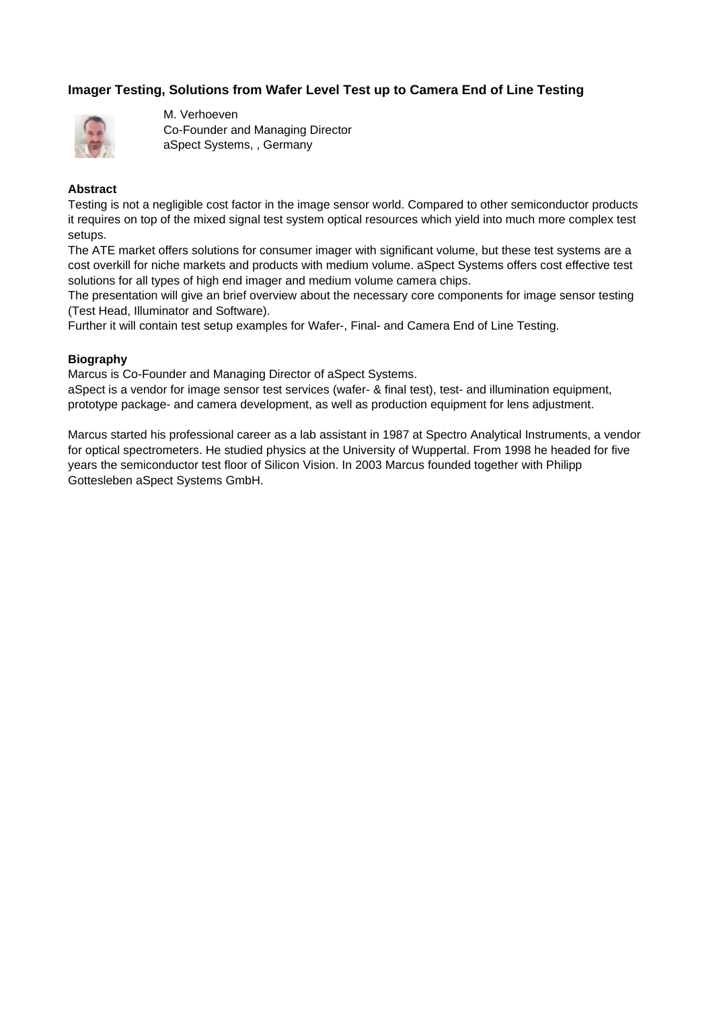# **Imager Testing, Solutions from Wafer Level Test up to Camera End of Line Testing**



M. Verhoeven Co-Founder and Managing Director aSpect Systems, , Germany

### **Abstract**

Testing is not a negligible cost factor in the image sensor world. Compared to other semiconductor products it requires on top of the mixed signal test system optical resources which yield into much more complex test setups.

The ATE market offers solutions for consumer imager with significant volume, but these test systems are a cost overkill for niche markets and products with medium volume. aSpect Systems offers cost effective test solutions for all types of high end imager and medium volume camera chips.

The presentation will give an brief overview about the necessary core components for image sensor testing (Test Head, Illuminator and Software).

Further it will contain test setup examples for Wafer-, Final- and Camera End of Line Testing.

### **Biography**

Marcus is Co-Founder and Managing Director of aSpect Systems.

aSpect is a vendor for image sensor test services (wafer- & final test), test- and illumination equipment, prototype package- and camera development, as well as production equipment for lens adjustment.

Marcus started his professional career as a lab assistant in 1987 at Spectro Analytical Instruments, a vendor for optical spectrometers. He studied physics at the University of Wuppertal. From 1998 he headed for five years the semiconductor test floor of Silicon Vision. In 2003 Marcus founded together with Philipp Gottesleben aSpect Systems GmbH.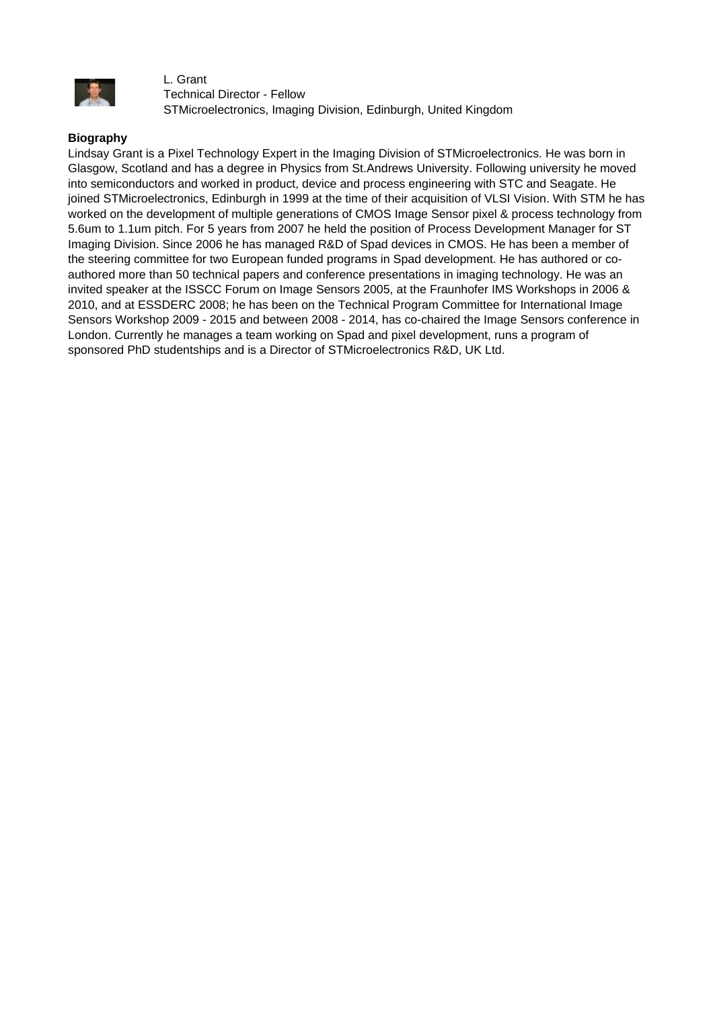

L. Grant Technical Director - Fellow STMicroelectronics, Imaging Division, Edinburgh, United Kingdom

### **Biography**

Lindsay Grant is a Pixel Technology Expert in the Imaging Division of STMicroelectronics. He was born in Glasgow, Scotland and has a degree in Physics from St.Andrews University. Following university he moved into semiconductors and worked in product, device and process engineering with STC and Seagate. He joined STMicroelectronics, Edinburgh in 1999 at the time of their acquisition of VLSI Vision. With STM he has worked on the development of multiple generations of CMOS Image Sensor pixel & process technology from 5.6um to 1.1um pitch. For 5 years from 2007 he held the position of Process Development Manager for ST Imaging Division. Since 2006 he has managed R&D of Spad devices in CMOS. He has been a member of the steering committee for two European funded programs in Spad development. He has authored or coauthored more than 50 technical papers and conference presentations in imaging technology. He was an invited speaker at the ISSCC Forum on Image Sensors 2005, at the Fraunhofer IMS Workshops in 2006 & 2010, and at ESSDERC 2008; he has been on the Technical Program Committee for International Image Sensors Workshop 2009 - 2015 and between 2008 - 2014, has co-chaired the Image Sensors conference in London. Currently he manages a team working on Spad and pixel development, runs a program of sponsored PhD studentships and is a Director of STMicroelectronics R&D, UK Ltd.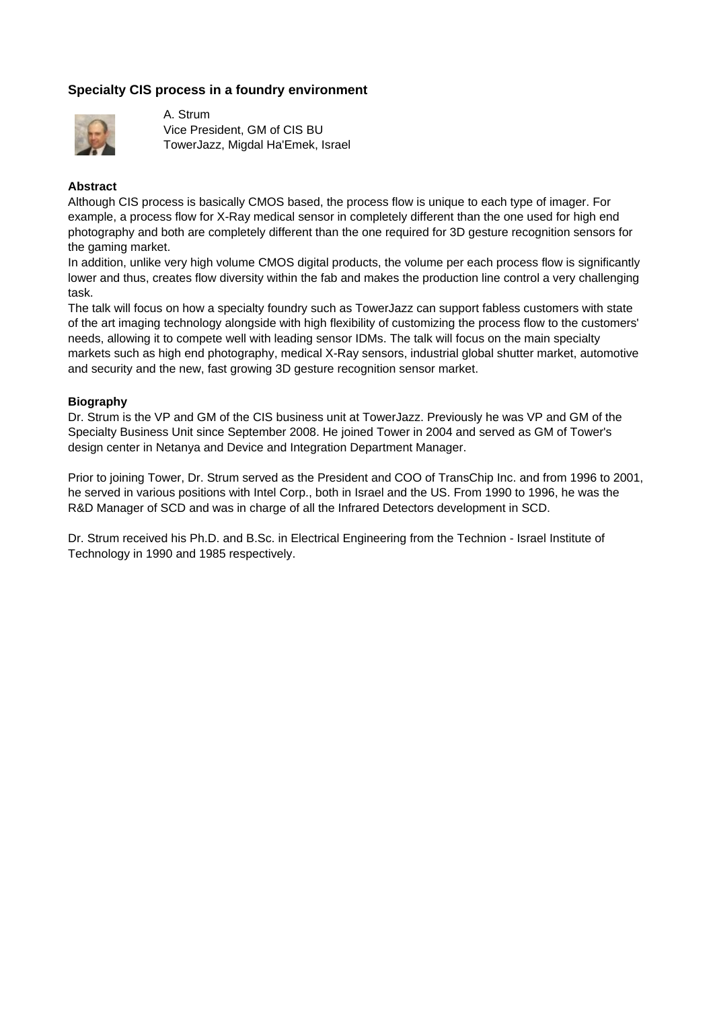# **Specialty CIS process in a foundry environment**



A. Strum Vice President, GM of CIS BU TowerJazz, Migdal Ha'Emek, Israel

### **Abstract**

Although CIS process is basically CMOS based, the process flow is unique to each type of imager. For example, a process flow for X-Ray medical sensor in completely different than the one used for high end photography and both are completely different than the one required for 3D gesture recognition sensors for the gaming market.

In addition, unlike very high volume CMOS digital products, the volume per each process flow is significantly lower and thus, creates flow diversity within the fab and makes the production line control a very challenging task.

The talk will focus on how a specialty foundry such as TowerJazz can support fabless customers with state of the art imaging technology alongside with high flexibility of customizing the process flow to the customers' needs, allowing it to compete well with leading sensor IDMs. The talk will focus on the main specialty markets such as high end photography, medical X-Ray sensors, industrial global shutter market, automotive and security and the new, fast growing 3D gesture recognition sensor market.

### **Biography**

Dr. Strum is the VP and GM of the CIS business unit at TowerJazz. Previously he was VP and GM of the Specialty Business Unit since September 2008. He joined Tower in 2004 and served as GM of Tower's design center in Netanya and Device and Integration Department Manager.

Prior to joining Tower, Dr. Strum served as the President and COO of TransChip Inc. and from 1996 to 2001, he served in various positions with Intel Corp., both in Israel and the US. From 1990 to 1996, he was the R&D Manager of SCD and was in charge of all the Infrared Detectors development in SCD.

Dr. Strum received his Ph.D. and B.Sc. in Electrical Engineering from the Technion - Israel Institute of Technology in 1990 and 1985 respectively.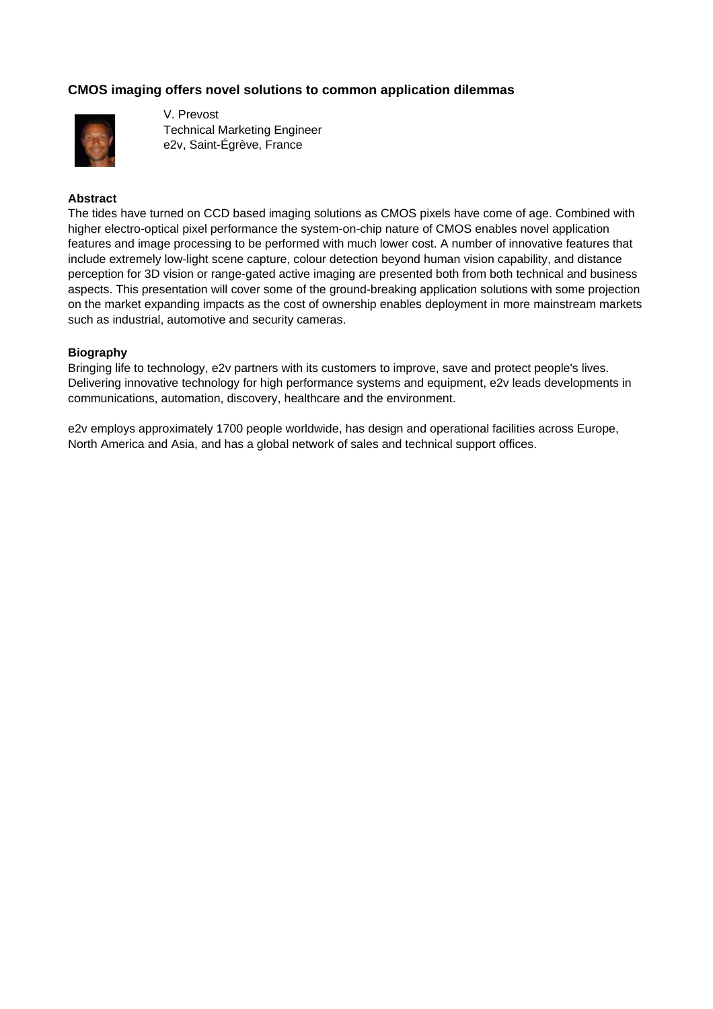# **CMOS imaging offers novel solutions to common application dilemmas**



V. Prevost Technical Marketing Engineer e2v, Saint-Égrève, France

### **Abstract**

The tides have turned on CCD based imaging solutions as CMOS pixels have come of age. Combined with higher electro-optical pixel performance the system-on-chip nature of CMOS enables novel application features and image processing to be performed with much lower cost. A number of innovative features that include extremely low-light scene capture, colour detection beyond human vision capability, and distance perception for 3D vision or range-gated active imaging are presented both from both technical and business aspects. This presentation will cover some of the ground-breaking application solutions with some projection on the market expanding impacts as the cost of ownership enables deployment in more mainstream markets such as industrial, automotive and security cameras.

### **Biography**

Bringing life to technology, e2v partners with its customers to improve, save and protect people's lives. Delivering innovative technology for high performance systems and equipment, e2v leads developments in communications, automation, discovery, healthcare and the environment.

e2v employs approximately 1700 people worldwide, has design and operational facilities across Europe, North America and Asia, and has a global network of sales and technical support offices.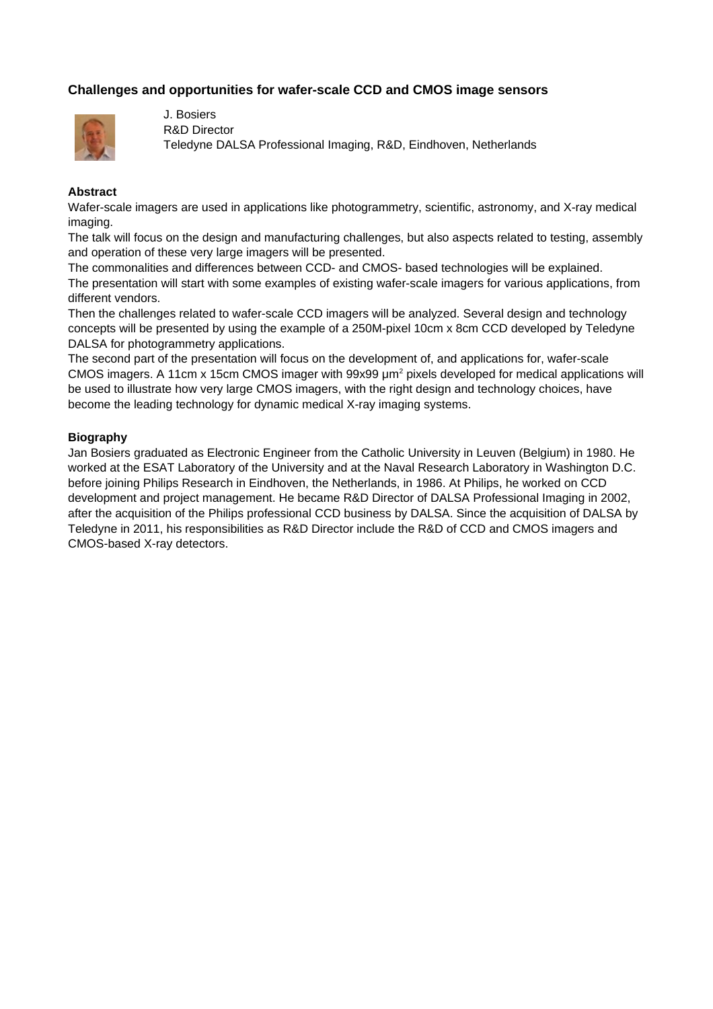# **Challenges and opportunities for wafer-scale CCD and CMOS image sensors**



J. Bosiers R&D Director Teledyne DALSA Professional Imaging, R&D, Eindhoven, Netherlands

### **Abstract**

Wafer-scale imagers are used in applications like photogrammetry, scientific, astronomy, and X-ray medical imaging.

The talk will focus on the design and manufacturing challenges, but also aspects related to testing, assembly and operation of these very large imagers will be presented.

The commonalities and differences between CCD- and CMOS- based technologies will be explained. The presentation will start with some examples of existing wafer-scale imagers for various applications, from different vendors.

Then the challenges related to wafer-scale CCD imagers will be analyzed. Several design and technology concepts will be presented by using the example of a 250M-pixel 10cm x 8cm CCD developed by Teledyne DALSA for photogrammetry applications.

The second part of the presentation will focus on the development of, and applications for, wafer-scale CMOS imagers. A 11cm x 15cm CMOS imager with 99x99  $\mu$ m<sup>2</sup> pixels developed for medical applications will be used to illustrate how very large CMOS imagers, with the right design and technology choices, have become the leading technology for dynamic medical X-ray imaging systems.

### **Biography**

Jan Bosiers graduated as Electronic Engineer from the Catholic University in Leuven (Belgium) in 1980. He worked at the ESAT Laboratory of the University and at the Naval Research Laboratory in Washington D.C. before joining Philips Research in Eindhoven, the Netherlands, in 1986. At Philips, he worked on CCD development and project management. He became R&D Director of DALSA Professional Imaging in 2002, after the acquisition of the Philips professional CCD business by DALSA. Since the acquisition of DALSA by Teledyne in 2011, his responsibilities as R&D Director include the R&D of CCD and CMOS imagers and CMOS-based X-ray detectors.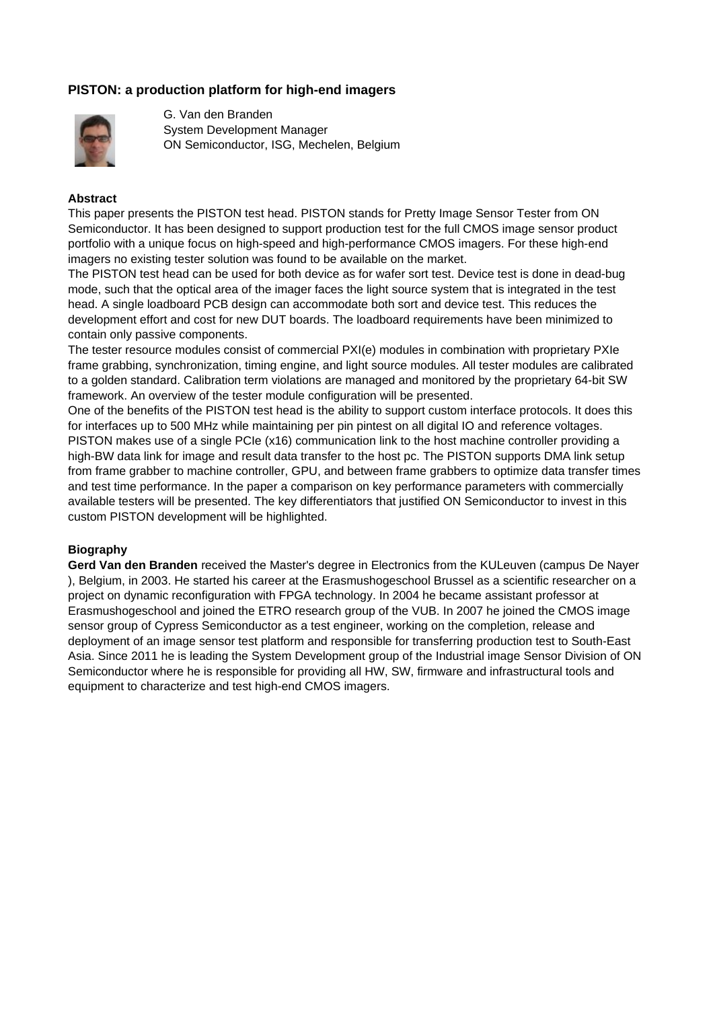# **PISTON: a production platform for high-end imagers**



G. Van den Branden System Development Manager ON Semiconductor, ISG, Mechelen, Belgium

### **Abstract**

This paper presents the PISTON test head. PISTON stands for Pretty Image Sensor Tester from ON Semiconductor. It has been designed to support production test for the full CMOS image sensor product portfolio with a unique focus on high-speed and high-performance CMOS imagers. For these high-end imagers no existing tester solution was found to be available on the market.

The PISTON test head can be used for both device as for wafer sort test. Device test is done in dead-bug mode, such that the optical area of the imager faces the light source system that is integrated in the test head. A single loadboard PCB design can accommodate both sort and device test. This reduces the development effort and cost for new DUT boards. The loadboard requirements have been minimized to contain only passive components.

The tester resource modules consist of commercial PXI(e) modules in combination with proprietary PXIe frame grabbing, synchronization, timing engine, and light source modules. All tester modules are calibrated to a golden standard. Calibration term violations are managed and monitored by the proprietary 64-bit SW framework. An overview of the tester module configuration will be presented.

One of the benefits of the PISTON test head is the ability to support custom interface protocols. It does this for interfaces up to 500 MHz while maintaining per pin pintest on all digital IO and reference voltages. PISTON makes use of a single PCIe (x16) communication link to the host machine controller providing a high-BW data link for image and result data transfer to the host pc. The PISTON supports DMA link setup from frame grabber to machine controller, GPU, and between frame grabbers to optimize data transfer times and test time performance. In the paper a comparison on key performance parameters with commercially available testers will be presented. The key differentiators that justified ON Semiconductor to invest in this custom PISTON development will be highlighted.

### **Biography**

**Gerd Van den Branden** received the Master's degree in Electronics from the KULeuven (campus De Nayer ), Belgium, in 2003. He started his career at the Erasmushogeschool Brussel as a scientific researcher on a project on dynamic reconfiguration with FPGA technology. In 2004 he became assistant professor at Erasmushogeschool and joined the ETRO research group of the VUB. In 2007 he joined the CMOS image sensor group of Cypress Semiconductor as a test engineer, working on the completion, release and deployment of an image sensor test platform and responsible for transferring production test to South-East Asia. Since 2011 he is leading the System Development group of the Industrial image Sensor Division of ON Semiconductor where he is responsible for providing all HW, SW, firmware and infrastructural tools and equipment to characterize and test high-end CMOS imagers.